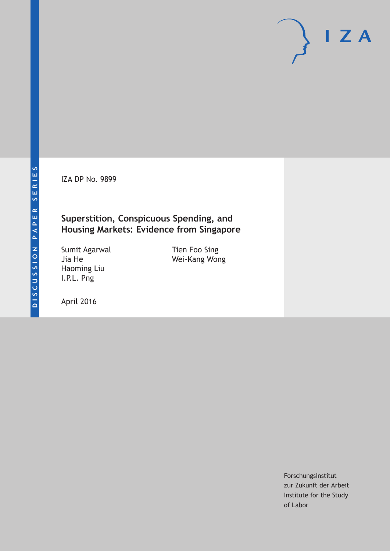IZA DP No. 9899

### **Superstition, Conspicuous Spending, and Housing Markets: Evidence from Singapore**

Sumit Agarwal Jia He Haoming Liu I.P.L. Png

Tien Foo Sing Wei-Kang Wong

April 2016

Forschungsinstitut zur Zukunft der Arbeit Institute for the Study of Labor

 $I Z A$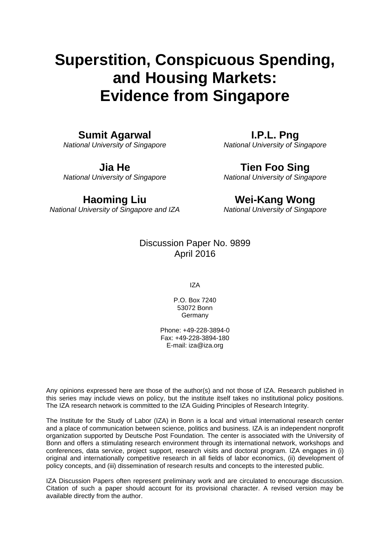# **Superstition, Conspicuous Spending, and Housing Markets: Evidence from Singapore**

### **Sumit Agarwal**

*National University of Singapore* 

**Jia He** 

*National University of Singapore* 

### **Haoming Liu**

*National University of Singapore and IZA*

**I.P.L. Png**  *National University of Singapore* 

### **Tien Foo Sing**

*National University of Singapore* 

## **Wei-Kang Wong**

*National University of Singapore* 

### Discussion Paper No. 9899 April 2016

IZA

P.O. Box 7240 53072 Bonn Germany

Phone: +49-228-3894-0 Fax: +49-228-3894-180 E-mail: iza@iza.org

Any opinions expressed here are those of the author(s) and not those of IZA. Research published in this series may include views on policy, but the institute itself takes no institutional policy positions. The IZA research network is committed to the IZA Guiding Principles of Research Integrity.

The Institute for the Study of Labor (IZA) in Bonn is a local and virtual international research center and a place of communication between science, politics and business. IZA is an independent nonprofit organization supported by Deutsche Post Foundation. The center is associated with the University of Bonn and offers a stimulating research environment through its international network, workshops and conferences, data service, project support, research visits and doctoral program. IZA engages in (i) original and internationally competitive research in all fields of labor economics, (ii) development of policy concepts, and (iii) dissemination of research results and concepts to the interested public.

IZA Discussion Papers often represent preliminary work and are circulated to encourage discussion. Citation of such a paper should account for its provisional character. A revised version may be available directly from the author.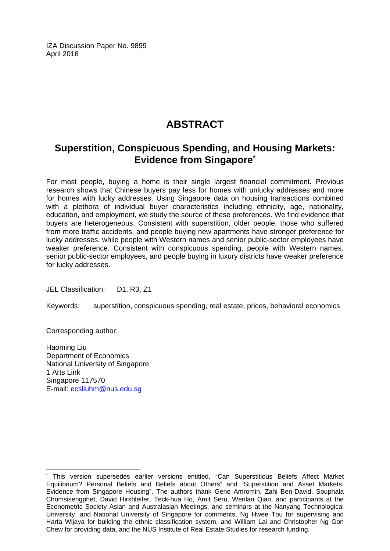IZA Discussion Paper No. 9899 April 2016

### **ABSTRACT**

### **Superstition, Conspicuous Spending, and Housing Markets: Evidence from Singapore\***

For most people, buying a home is their single largest financial commitment. Previous research shows that Chinese buyers pay less for homes with unlucky addresses and more for homes with lucky addresses. Using Singapore data on housing transactions combined with a plethora of individual buyer characteristics including ethnicity, age, nationality, education, and employment, we study the source of these preferences. We find evidence that buyers are heterogeneous. Consistent with superstition, older people, those who suffered from more traffic accidents, and people buying new apartments have stronger preference for lucky addresses, while people with Western names and senior public-sector employees have weaker preference. Consistent with conspicuous spending, people with Western names, senior public-sector employees, and people buying in luxury districts have weaker preference for lucky addresses.

JEL Classification: D1, R3, Z1

Keywords: superstition, conspicuous spending, real estate, prices, behavioral economics

Corresponding author:

 $\overline{\phantom{a}}$ 

Haoming Liu Department of Economics National University of Singapore 1 Arts Link Singapore 117570 E-mail: ecsliuhm@nus.edu.sg

<sup>\*</sup> This version supersedes earlier versions entitled, "Can Superstitious Beliefs Affect Market Equilibrium? Personal Beliefs and Beliefs about Others" and "Superstition and Asset Markets: Evidence from Singapore Housing". The authors thank Gene Amromin, Zahi Ben-David, Souphala Chomsisengphet, David Hirshleifer, Teck-hua Ho, Amit Seru, Wenlan Qian, and participants at the Econometric Society Asian and Australasian Meetings, and seminars at the Nanyang Technological University, and National University of Singapore for comments, Ng Hwee Tou for supervising and Harta Wijaya for building the ethnic classification system, and William Lai and Christopher Ng Gon Chew for providing data, and the NUS Institute of Real Estate Studies for research funding.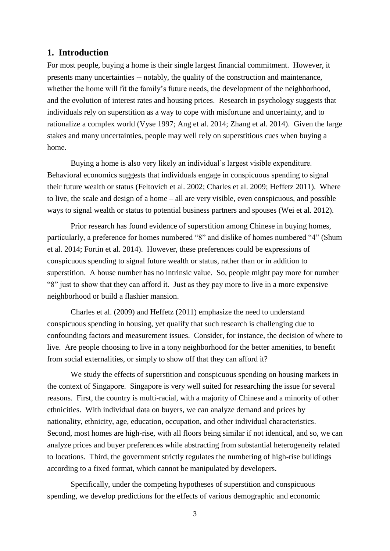#### **1. Introduction**

For most people, buying a home is their single largest financial commitment. However, it presents many uncertainties -- notably, the quality of the construction and maintenance, whether the home will fit the family's future needs, the development of the neighborhood, and the evolution of interest rates and housing prices. Research in psychology suggests that individuals rely on superstition as a way to cope with misfortune and uncertainty, and to rationalize a complex world (Vyse 1997; Ang et al. 2014; Zhang et al. 2014). Given the large stakes and many uncertainties, people may well rely on superstitious cues when buying a home.

Buying a home is also very likely an individual's largest visible expenditure. Behavioral economics suggests that individuals engage in conspicuous spending to signal their future wealth or status (Feltovich et al. 2002; Charles et al. 2009; Heffetz 2011). Where to live, the scale and design of a home – all are very visible, even conspicuous, and possible ways to signal wealth or status to potential business partners and spouses (Wei et al. 2012).

Prior research has found evidence of superstition among Chinese in buying homes, particularly, a preference for homes numbered "8" and dislike of homes numbered "4" (Shum et al. 2014; Fortin et al. 2014). However, these preferences could be expressions of conspicuous spending to signal future wealth or status, rather than or in addition to superstition. A house number has no intrinsic value. So, people might pay more for number "8" just to show that they can afford it. Just as they pay more to live in a more expensive neighborhood or build a flashier mansion.

Charles et al. (2009) and Heffetz (2011) emphasize the need to understand conspicuous spending in housing, yet qualify that such research is challenging due to confounding factors and measurement issues. Consider, for instance, the decision of where to live. Are people choosing to live in a tony neighborhood for the better amenities, to benefit from social externalities, or simply to show off that they can afford it?

We study the effects of superstition and conspicuous spending on housing markets in the context of Singapore. Singapore is very well suited for researching the issue for several reasons. First, the country is multi-racial, with a majority of Chinese and a minority of other ethnicities. With individual data on buyers, we can analyze demand and prices by nationality, ethnicity, age, education, occupation, and other individual characteristics. Second, most homes are high-rise, with all floors being similar if not identical, and so, we can analyze prices and buyer preferences while abstracting from substantial heterogeneity related to locations. Third, the government strictly regulates the numbering of high-rise buildings according to a fixed format, which cannot be manipulated by developers.

Specifically, under the competing hypotheses of superstition and conspicuous spending, we develop predictions for the effects of various demographic and economic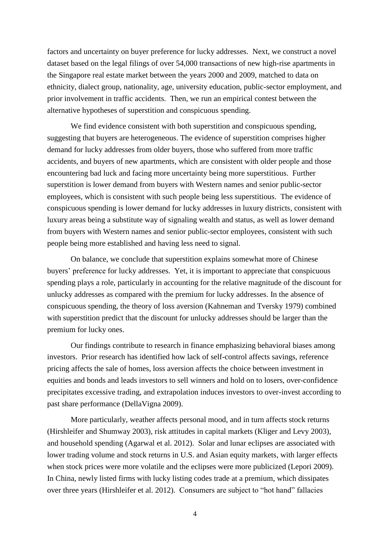factors and uncertainty on buyer preference for lucky addresses. Next, we construct a novel dataset based on the legal filings of over 54,000 transactions of new high-rise apartments in the Singapore real estate market between the years 2000 and 2009, matched to data on ethnicity, dialect group, nationality, age, university education, public-sector employment, and prior involvement in traffic accidents. Then, we run an empirical contest between the alternative hypotheses of superstition and conspicuous spending.

We find evidence consistent with both superstition and conspicuous spending, suggesting that buyers are heterogeneous. The evidence of superstition comprises higher demand for lucky addresses from older buyers, those who suffered from more traffic accidents, and buyers of new apartments, which are consistent with older people and those encountering bad luck and facing more uncertainty being more superstitious. Further superstition is lower demand from buyers with Western names and senior public-sector employees, which is consistent with such people being less superstitious. The evidence of conspicuous spending is lower demand for lucky addresses in luxury districts, consistent with luxury areas being a substitute way of signaling wealth and status, as well as lower demand from buyers with Western names and senior public-sector employees, consistent with such people being more established and having less need to signal.

On balance, we conclude that superstition explains somewhat more of Chinese buyers' preference for lucky addresses. Yet, it is important to appreciate that conspicuous spending plays a role, particularly in accounting for the relative magnitude of the discount for unlucky addresses as compared with the premium for lucky addresses. In the absence of conspicuous spending, the theory of loss aversion (Kahneman and Tversky 1979) combined with superstition predict that the discount for unlucky addresses should be larger than the premium for lucky ones.

Our findings contribute to research in finance emphasizing behavioral biases among investors. Prior research has identified how lack of self-control affects savings, reference pricing affects the sale of homes, loss aversion affects the choice between investment in equities and bonds and leads investors to sell winners and hold on to losers, over-confidence precipitates excessive trading, and extrapolation induces investors to over-invest according to past share performance (DellaVigna 2009).

More particularly, weather affects personal mood, and in turn affects stock returns (Hirshleifer and Shumway 2003), risk attitudes in capital markets (Kliger and Levy 2003), and household spending (Agarwal et al. 2012). Solar and lunar eclipses are associated with lower trading volume and stock returns in U.S. and Asian equity markets, with larger effects when stock prices were more volatile and the eclipses were more publicized (Lepori 2009). In China, newly listed firms with lucky listing codes trade at a premium, which dissipates over three years (Hirshleifer et al. 2012). Consumers are subject to "hot hand" fallacies

4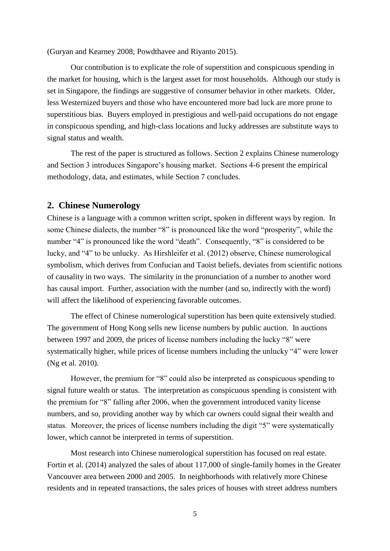(Guryan and Kearney 2008; Powdthavee and Riyanto 2015).

Our contribution is to explicate the role of superstition and conspicuous spending in the market for housing, which is the largest asset for most households. Although our study is set in Singapore, the findings are suggestive of consumer behavior in other markets. Older, less Westernized buyers and those who have encountered more bad luck are more prone to superstitious bias. Buyers employed in prestigious and well-paid occupations do not engage in conspicuous spending, and high-class locations and lucky addresses are substitute ways to signal status and wealth.

The rest of the paper is structured as follows. Section 2 explains Chinese numerology and Section 3 introduces Singapore's housing market. Sections 4-6 present the empirical methodology, data, and estimates, while Section 7 concludes.

#### **2. Chinese Numerology**

Chinese is a language with a common written script, spoken in different ways by region. In some Chinese dialects, the number "8" is pronounced like the word "prosperity", while the number "4" is pronounced like the word "death". Consequently, "8" is considered to be lucky, and "4" to be unlucky. As Hirshleifer et al. (2012) observe, Chinese numerological symbolism, which derives from Confucian and Taoist beliefs, deviates from scientific notions of causality in two ways. The similarity in the pronunciation of a number to another word has causal import. Further, association with the number (and so, indirectly with the word) will affect the likelihood of experiencing favorable outcomes.

The effect of Chinese numerological superstition has been quite extensively studied. The government of Hong Kong sells new license numbers by public auction. In auctions between 1997 and 2009, the prices of license numbers including the lucky "8" were systematically higher, while prices of license numbers including the unlucky "4" were lower (Ng et al. 2010).

However, the premium for "8" could also be interpreted as conspicuous spending to signal future wealth or status. The interpretation as conspicuous spending is consistent with the premium for "8" falling after 2006, when the government introduced vanity license numbers, and so, providing another way by which car owners could signal their wealth and status. Moreover, the prices of license numbers including the digit "5" were systematically lower, which cannot be interpreted in terms of superstition.

Most research into Chinese numerological superstition has focused on real estate. Fortin et al. (2014) analyzed the sales of about 117,000 of single-family homes in the Greater Vancouver area between 2000 and 2005. In neighborhoods with relatively more Chinese residents and in repeated transactions, the sales prices of houses with street address numbers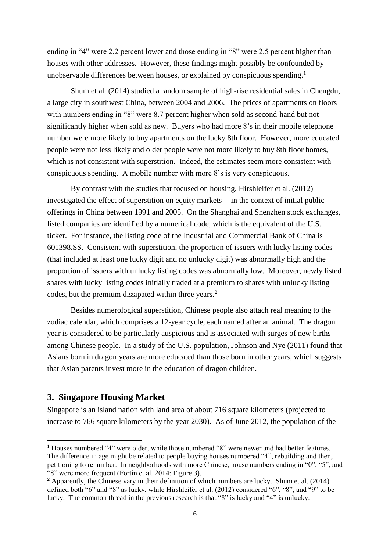ending in "4" were 2.2 percent lower and those ending in "8" were 2.5 percent higher than houses with other addresses. However, these findings might possibly be confounded by unobservable differences between houses, or explained by conspicuous spending. 1

Shum et al. (2014) studied a random sample of high-rise residential sales in Chengdu, a large city in southwest China, between 2004 and 2006. The prices of apartments on floors with numbers ending in "8" were 8.7 percent higher when sold as second-hand but not significantly higher when sold as new. Buyers who had more 8's in their mobile telephone number were more likely to buy apartments on the lucky 8th floor. However, more educated people were not less likely and older people were not more likely to buy 8th floor homes, which is not consistent with superstition. Indeed, the estimates seem more consistent with conspicuous spending. A mobile number with more 8's is very conspicuous.

By contrast with the studies that focused on housing, Hirshleifer et al. (2012) investigated the effect of superstition on equity markets -- in the context of initial public offerings in China between 1991 and 2005. On the Shanghai and Shenzhen stock exchanges, listed companies are identified by a numerical code, which is the equivalent of the U.S. ticker. For instance, the listing code of the Industrial and Commercial Bank of China is 601398.SS. Consistent with superstition, the proportion of issuers with lucky listing codes (that included at least one lucky digit and no unlucky digit) was abnormally high and the proportion of issuers with unlucky listing codes was abnormally low. Moreover, newly listed shares with lucky listing codes initially traded at a premium to shares with unlucky listing codes, but the premium dissipated within three years. $<sup>2</sup>$ </sup>

Besides numerological superstition, Chinese people also attach real meaning to the zodiac calendar, which comprises a 12-year cycle, each named after an animal. The dragon year is considered to be particularly auspicious and is associated with surges of new births among Chinese people. In a study of the U.S. population, Johnson and Nye (2011) found that Asians born in dragon years are more educated than those born in other years, which suggests that Asian parents invest more in the education of dragon children.

#### **3. Singapore Housing Market**

-

Singapore is an island nation with land area of about 716 square kilometers (projected to increase to 766 square kilometers by the year 2030). As of June 2012, the population of the

<sup>&</sup>lt;sup>1</sup> Houses numbered "4" were older, while those numbered "8" were newer and had better features. The difference in age might be related to people buying houses numbered "4", rebuilding and then, petitioning to renumber. In neighborhoods with more Chinese, house numbers ending in "0", "5", and "8" were more frequent (Fortin et al. 2014: Figure 3).

<sup>2</sup> Apparently, the Chinese vary in their definition of which numbers are lucky. Shum et al. (2014) defined both "6" and "8" as lucky, while Hirshleifer et al. (2012) considered "6", "8", and "9" to be lucky. The common thread in the previous research is that "8" is lucky and "4" is unlucky.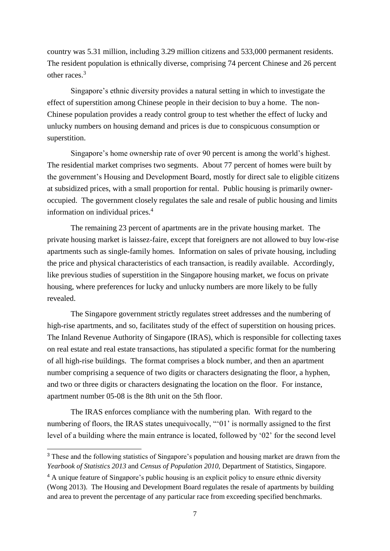country was 5.31 million, including 3.29 million citizens and 533,000 permanent residents. The resident population is ethnically diverse, comprising 74 percent Chinese and 26 percent other races. 3

Singapore's ethnic diversity provides a natural setting in which to investigate the effect of superstition among Chinese people in their decision to buy a home. The non-Chinese population provides a ready control group to test whether the effect of lucky and unlucky numbers on housing demand and prices is due to conspicuous consumption or superstition.

Singapore's home ownership rate of over 90 percent is among the world's highest. The residential market comprises two segments. About 77 percent of homes were built by the government's Housing and Development Board, mostly for direct sale to eligible citizens at subsidized prices, with a small proportion for rental. Public housing is primarily owneroccupied. The government closely regulates the sale and resale of public housing and limits information on individual prices. 4

The remaining 23 percent of apartments are in the private housing market. The private housing market is laissez-faire, except that foreigners are not allowed to buy low-rise apartments such as single-family homes. Information on sales of private housing, including the price and physical characteristics of each transaction, is readily available. Accordingly, like previous studies of superstition in the Singapore housing market, we focus on private housing, where preferences for lucky and unlucky numbers are more likely to be fully revealed.

The Singapore government strictly regulates street addresses and the numbering of high-rise apartments, and so, facilitates study of the effect of superstition on housing prices. The Inland Revenue Authority of Singapore (IRAS), which is responsible for collecting taxes on real estate and real estate transactions, has stipulated a specific format for the numbering of all high-rise buildings. The format comprises a block number, and then an apartment number comprising a sequence of two digits or characters designating the floor, a hyphen, and two or three digits or characters designating the location on the floor. For instance, apartment number 05-08 is the 8th unit on the 5th floor.

The IRAS enforces compliance with the numbering plan. With regard to the numbering of floors, the IRAS states unequivocally, "'01' is normally assigned to the first level of a building where the main entrance is located, followed by '02' for the second level

-

<sup>&</sup>lt;sup>3</sup> These and the following statistics of Singapore's population and housing market are drawn from the *Yearbook of Statistics 2013* and *Census of Population 2010*, Department of Statistics, Singapore.

<sup>&</sup>lt;sup>4</sup> A unique feature of Singapore's public housing is an explicit policy to ensure ethnic diversity (Wong 2013). The Housing and Development Board regulates the resale of apartments by building and area to prevent the percentage of any particular race from exceeding specified benchmarks.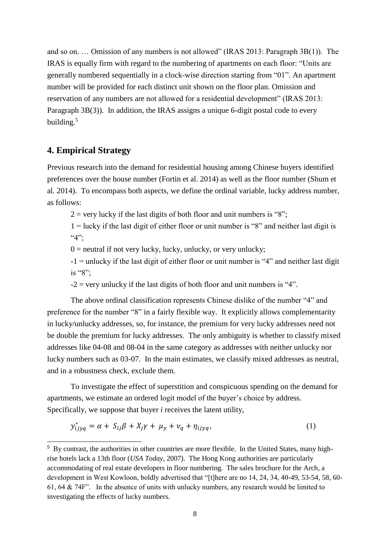and so on. … Omission of any numbers is not allowed" (IRAS 2013: Paragraph 3B(1)). The IRAS is equally firm with regard to the numbering of apartments on each floor: "Units are generally numbered sequentially in a clock-wise direction starting from "01". An apartment number will be provided for each distinct unit shown on the floor plan. Omission and reservation of any numbers are not allowed for a residential development" (IRAS 2013: Paragraph 3B(3)). In addition, the IRAS assigns a unique 6-digit postal code to every building.<sup>5</sup>

#### **4. Empirical Strategy**

-

Previous research into the demand for residential housing among Chinese buyers identified preferences over the house number (Fortin et al. 2014) as well as the floor number (Shum et al. 2014). To encompass both aspects, we define the ordinal variable, lucky address number, as follows:

 $2 =$  very lucky if the last digits of both floor and unit numbers is "8";

 $1 =$ lucky if the last digit of either floor or unit number is "8" and neither last digit is "4";

 $0 =$  neutral if not very lucky, lucky, unlucky, or very unlucky;

-1 = unlucky if the last digit of either floor or unit number is "4" and neither last digit is "8";

 $-2$  = very unlucky if the last digits of both floor and unit numbers is "4".

The above ordinal classification represents Chinese dislike of the number "4" and preference for the number "8" in a fairly flexible way. It explicitly allows complementarity in lucky/unlucky addresses, so, for instance, the premium for very lucky addresses need not be double the premium for lucky addresses. The only ambiguity is whether to classify mixed addresses like 04-08 and 08-04 in the same category as addresses with neither unlucky nor lucky numbers such as 03-07. In the main estimates, we classify mixed addresses as neutral, and in a robustness check, exclude them.

To investigate the effect of superstition and conspicuous spending on the demand for apartments, we estimate an ordered logit model of the buyer's choice by address. Specifically, we suppose that buyer *i* receives the latent utility,

$$
y_{ijyq}^* = \alpha + S_{ij}\beta + X_j\gamma + \mu_y + \nu_q + \eta_{ijyq},
$$
\n(1)

<sup>5</sup> By contrast, the authorities in other countries are more flexible. In the United States, many highrise hotels lack a 13th floor (*USA Today*, 2007). The Hong Kong authorities are particularly accommodating of real estate developers in floor numbering. The sales brochure for the Arch, a development in West Kowloon, boldly advertised that "[t]here are no 14, 24, 34, 40-49, 53-54, 58, 60- 61, 64 & 74F". In the absence of units with unlucky numbers, any research would be limited to investigating the effects of lucky numbers.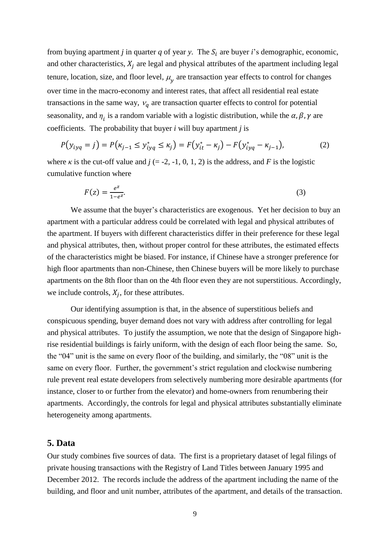from buying apartment *j* in quarter *q* of year *y*. The  $S_i$  are buyer *i*'s demographic, economic, and other characteristics,  $X_i$  are legal and physical attributes of the apartment including legal tenure, location, size, and floor level,  $\mu_y$  are transaction year effects to control for changes over time in the macro-economy and interest rates, that affect all residential real estate transactions in the same way,  $v_q$  are transaction quarter effects to control for potential seasonality, and  $\eta_i$  is a random variable with a logistic distribution, while the  $\alpha$ ,  $\beta$ ,  $\gamma$  are coefficients. The probability that buyer *i* will buy apartment *j* is

$$
P(y_{iyq} = j) = P(\kappa_{j-1} \le y_{iyq}^* \le \kappa_j) = F(y_{it}^* - \kappa_j) - F(y_{iyq}^* - \kappa_{j-1}),
$$
\n(2)

where  $\kappa$  is the cut-off value and  $j$  (= -2, -1, 0, 1, 2) is the address, and *F* is the logistic cumulative function where

$$
F(z) = \frac{e^z}{1 - e^z}.\tag{3}
$$

We assume that the buyer's characteristics are exogenous. Yet her decision to buy an apartment with a particular address could be correlated with legal and physical attributes of the apartment. If buyers with different characteristics differ in their preference for these legal and physical attributes, then, without proper control for these attributes, the estimated effects of the characteristics might be biased. For instance, if Chinese have a stronger preference for high floor apartments than non-Chinese, then Chinese buyers will be more likely to purchase apartments on the 8th floor than on the 4th floor even they are not superstitious. Accordingly, we include controls,  $X_j$ , for these attributes.

Our identifying assumption is that, in the absence of superstitious beliefs and conspicuous spending, buyer demand does not vary with address after controlling for legal and physical attributes. To justify the assumption, we note that the design of Singapore highrise residential buildings is fairly uniform, with the design of each floor being the same. So, the "04" unit is the same on every floor of the building, and similarly, the "08" unit is the same on every floor. Further, the government's strict regulation and clockwise numbering rule prevent real estate developers from selectively numbering more desirable apartments (for instance, closer to or further from the elevator) and home-owners from renumbering their apartments. Accordingly, the controls for legal and physical attributes substantially eliminate heterogeneity among apartments.

#### **5. Data**

Our study combines five sources of data. The first is a proprietary dataset of legal filings of private housing transactions with the Registry of Land Titles between January 1995 and December 2012. The records include the address of the apartment including the name of the building, and floor and unit number, attributes of the apartment, and details of the transaction.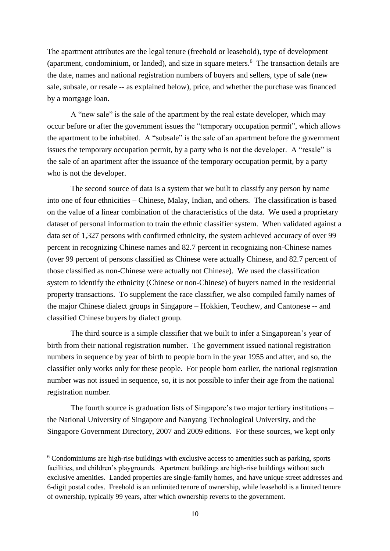The apartment attributes are the legal tenure (freehold or leasehold), type of development (apartment, condominium, or landed), and size in square meters.<sup>6</sup> The transaction details are the date, names and national registration numbers of buyers and sellers, type of sale (new sale, subsale, or resale -- as explained below), price, and whether the purchase was financed by a mortgage loan.

A "new sale" is the sale of the apartment by the real estate developer, which may occur before or after the government issues the "temporary occupation permit", which allows the apartment to be inhabited. A "subsale" is the sale of an apartment before the government issues the temporary occupation permit, by a party who is not the developer. A "resale" is the sale of an apartment after the issuance of the temporary occupation permit, by a party who is not the developer.

The second source of data is a system that we built to classify any person by name into one of four ethnicities – Chinese, Malay, Indian, and others. The classification is based on the value of a linear combination of the characteristics of the data. We used a proprietary dataset of personal information to train the ethnic classifier system. When validated against a data set of 1,327 persons with confirmed ethnicity, the system achieved accuracy of over 99 percent in recognizing Chinese names and 82.7 percent in recognizing non-Chinese names (over 99 percent of persons classified as Chinese were actually Chinese, and 82.7 percent of those classified as non-Chinese were actually not Chinese). We used the classification system to identify the ethnicity (Chinese or non-Chinese) of buyers named in the residential property transactions. To supplement the race classifier, we also compiled family names of the major Chinese dialect groups in Singapore – Hokkien, Teochew, and Cantonese -- and classified Chinese buyers by dialect group.

The third source is a simple classifier that we built to infer a Singaporean's year of birth from their national registration number. The government issued national registration numbers in sequence by year of birth to people born in the year 1955 and after, and so, the classifier only works only for these people. For people born earlier, the national registration number was not issued in sequence, so, it is not possible to infer their age from the national registration number.

The fourth source is graduation lists of Singapore's two major tertiary institutions – the National University of Singapore and Nanyang Technological University, and the Singapore Government Directory, 2007 and 2009 editions. For these sources, we kept only

-

<sup>&</sup>lt;sup>6</sup> Condominiums are high-rise buildings with exclusive access to amenities such as parking, sports facilities, and children's playgrounds. Apartment buildings are high-rise buildings without such exclusive amenities. Landed properties are single-family homes, and have unique street addresses and 6-digit postal codes. Freehold is an unlimited tenure of ownership, while leasehold is a limited tenure of ownership, typically 99 years, after which ownership reverts to the government.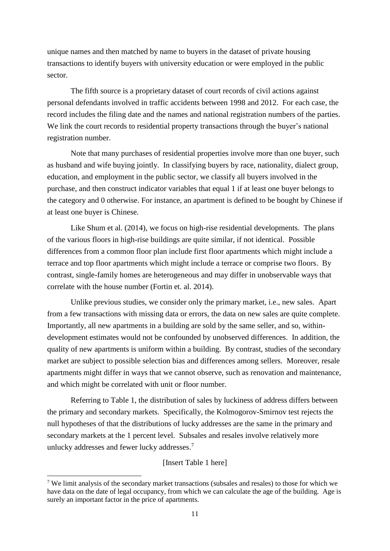unique names and then matched by name to buyers in the dataset of private housing transactions to identify buyers with university education or were employed in the public sector.

The fifth source is a proprietary dataset of court records of civil actions against personal defendants involved in traffic accidents between 1998 and 2012. For each case, the record includes the filing date and the names and national registration numbers of the parties. We link the court records to residential property transactions through the buyer's national registration number.

Note that many purchases of residential properties involve more than one buyer, such as husband and wife buying jointly. In classifying buyers by race, nationality, dialect group, education, and employment in the public sector, we classify all buyers involved in the purchase, and then construct indicator variables that equal 1 if at least one buyer belongs to the category and 0 otherwise. For instance, an apartment is defined to be bought by Chinese if at least one buyer is Chinese.

Like Shum et al. (2014), we focus on high-rise residential developments. The plans of the various floors in high-rise buildings are quite similar, if not identical. Possible differences from a common floor plan include first floor apartments which might include a terrace and top floor apartments which might include a terrace or comprise two floors. By contrast, single-family homes are heterogeneous and may differ in unobservable ways that correlate with the house number (Fortin et. al. 2014).

Unlike previous studies, we consider only the primary market, i.e., new sales. Apart from a few transactions with missing data or errors, the data on new sales are quite complete. Importantly, all new apartments in a building are sold by the same seller, and so, withindevelopment estimates would not be confounded by unobserved differences. In addition, the quality of new apartments is uniform within a building. By contrast, studies of the secondary market are subject to possible selection bias and differences among sellers. Moreover, resale apartments might differ in ways that we cannot observe, such as renovation and maintenance, and which might be correlated with unit or floor number.

Referring to Table 1, the distribution of sales by luckiness of address differs between the primary and secondary markets. Specifically, the Kolmogorov-Smirnov test rejects the null hypotheses of that the distributions of lucky addresses are the same in the primary and secondary markets at the 1 percent level. Subsales and resales involve relatively more unlucky addresses and fewer lucky addresses.<sup>7</sup>

[Insert Table 1 here]

-

<sup>7</sup> We limit analysis of the secondary market transactions (subsales and resales) to those for which we have data on the date of legal occupancy, from which we can calculate the age of the building. Age is surely an important factor in the price of apartments.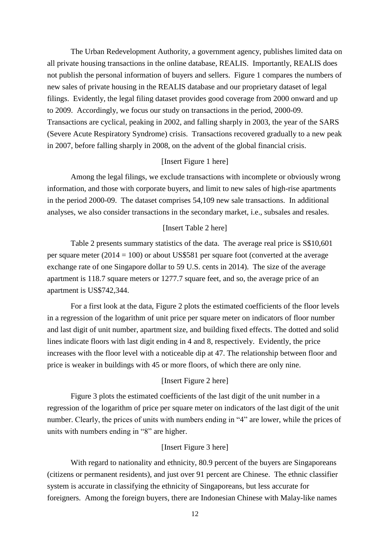The Urban Redevelopment Authority, a government agency, publishes limited data on all private housing transactions in the online database, REALIS. Importantly, REALIS does not publish the personal information of buyers and sellers. Figure 1 compares the numbers of new sales of private housing in the REALIS database and our proprietary dataset of legal filings. Evidently, the legal filing dataset provides good coverage from 2000 onward and up to 2009. Accordingly, we focus our study on transactions in the period, 2000-09. Transactions are cyclical, peaking in 2002, and falling sharply in 2003, the year of the SARS (Severe Acute Respiratory Syndrome) crisis. Transactions recovered gradually to a new peak in 2007, before falling sharply in 2008, on the advent of the global financial crisis.

#### [Insert Figure 1 here]

Among the legal filings, we exclude transactions with incomplete or obviously wrong information, and those with corporate buyers, and limit to new sales of high-rise apartments in the period 2000-09. The dataset comprises 54,109 new sale transactions. In additional analyses, we also consider transactions in the secondary market, i.e., subsales and resales.

#### [Insert Table 2 here]

Table 2 presents summary statistics of the data. The average real price is S\$10,601 per square meter (2014 = 100) or about US\$581 per square foot (converted at the average exchange rate of one Singapore dollar to 59 U.S. cents in 2014). The size of the average apartment is 118.7 square meters or 1277.7 square feet, and so, the average price of an apartment is US\$742,344.

For a first look at the data, Figure 2 plots the estimated coefficients of the floor levels in a regression of the logarithm of unit price per square meter on indicators of floor number and last digit of unit number, apartment size, and building fixed effects. The dotted and solid lines indicate floors with last digit ending in 4 and 8, respectively. Evidently, the price increases with the floor level with a noticeable dip at 47. The relationship between floor and price is weaker in buildings with 45 or more floors, of which there are only nine.

#### [Insert Figure 2 here]

Figure 3 plots the estimated coefficients of the last digit of the unit number in a regression of the logarithm of price per square meter on indicators of the last digit of the unit number. Clearly, the prices of units with numbers ending in "4" are lower, while the prices of units with numbers ending in "8" are higher.

#### [Insert Figure 3 here]

With regard to nationality and ethnicity, 80.9 percent of the buyers are Singaporeans (citizens or permanent residents), and just over 91 percent are Chinese. The ethnic classifier system is accurate in classifying the ethnicity of Singaporeans, but less accurate for foreigners. Among the foreign buyers, there are Indonesian Chinese with Malay-like names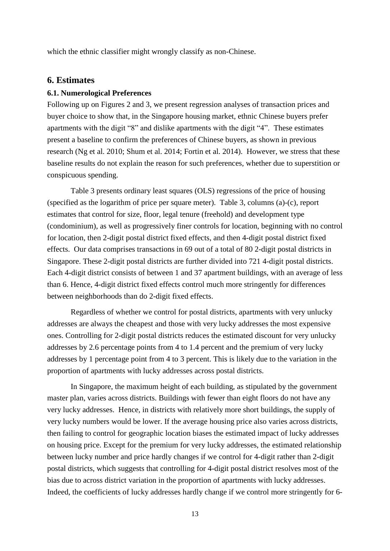which the ethnic classifier might wrongly classify as non-Chinese.

#### **6. Estimates**

#### **6.1. Numerological Preferences**

Following up on Figures 2 and 3, we present regression analyses of transaction prices and buyer choice to show that, in the Singapore housing market, ethnic Chinese buyers prefer apartments with the digit "8" and dislike apartments with the digit "4". These estimates present a baseline to confirm the preferences of Chinese buyers, as shown in previous research (Ng et al. 2010; Shum et al. 2014; Fortin et al. 2014). However, we stress that these baseline results do not explain the reason for such preferences, whether due to superstition or conspicuous spending.

Table 3 presents ordinary least squares (OLS) regressions of the price of housing (specified as the logarithm of price per square meter). Table 3, columns (a)-(c), report estimates that control for size, floor, legal tenure (freehold) and development type (condominium), as well as progressively finer controls for location, beginning with no control for location, then 2-digit postal district fixed effects, and then 4-digit postal district fixed effects. Our data comprises transactions in 69 out of a total of 80 2-digit postal districts in Singapore. These 2-digit postal districts are further divided into 721 4-digit postal districts. Each 4-digit district consists of between 1 and 37 apartment buildings, with an average of less than 6. Hence, 4-digit district fixed effects control much more stringently for differences between neighborhoods than do 2-digit fixed effects.

Regardless of whether we control for postal districts, apartments with very unlucky addresses are always the cheapest and those with very lucky addresses the most expensive ones. Controlling for 2-digit postal districts reduces the estimated discount for very unlucky addresses by 2.6 percentage points from 4 to 1.4 percent and the premium of very lucky addresses by 1 percentage point from 4 to 3 percent. This is likely due to the variation in the proportion of apartments with lucky addresses across postal districts.

In Singapore, the maximum height of each building, as stipulated by the government master plan, varies across districts. Buildings with fewer than eight floors do not have any very lucky addresses. Hence, in districts with relatively more short buildings, the supply of very lucky numbers would be lower. If the average housing price also varies across districts, then failing to control for geographic location biases the estimated impact of lucky addresses on housing price. Except for the premium for very lucky addresses, the estimated relationship between lucky number and price hardly changes if we control for 4-digit rather than 2-digit postal districts, which suggests that controlling for 4-digit postal district resolves most of the bias due to across district variation in the proportion of apartments with lucky addresses. Indeed, the coefficients of lucky addresses hardly change if we control more stringently for 6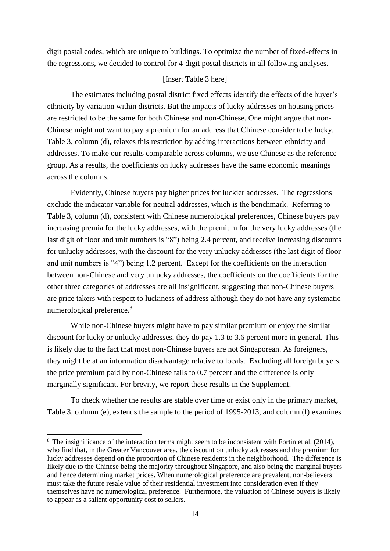digit postal codes, which are unique to buildings. To optimize the number of fixed-effects in the regressions, we decided to control for 4-digit postal districts in all following analyses.

#### [Insert Table 3 here]

The estimates including postal district fixed effects identify the effects of the buyer's ethnicity by variation within districts. But the impacts of lucky addresses on housing prices are restricted to be the same for both Chinese and non-Chinese. One might argue that non-Chinese might not want to pay a premium for an address that Chinese consider to be lucky. Table 3, column (d), relaxes this restriction by adding interactions between ethnicity and addresses. To make our results comparable across columns, we use Chinese as the reference group. As a results, the coefficients on lucky addresses have the same economic meanings across the columns.

Evidently, Chinese buyers pay higher prices for luckier addresses. The regressions exclude the indicator variable for neutral addresses, which is the benchmark. Referring to Table 3, column (d), consistent with Chinese numerological preferences, Chinese buyers pay increasing premia for the lucky addresses, with the premium for the very lucky addresses (the last digit of floor and unit numbers is "8") being 2.4 percent, and receive increasing discounts for unlucky addresses, with the discount for the very unlucky addresses (the last digit of floor and unit numbers is "4") being 1.2 percent. Except for the coefficients on the interaction between non-Chinese and very unlucky addresses, the coefficients on the coefficients for the other three categories of addresses are all insignificant, suggesting that non-Chinese buyers are price takers with respect to luckiness of address although they do not have any systematic numerological preference. 8

While non-Chinese buyers might have to pay similar premium or enjoy the similar discount for lucky or unlucky addresses, they do pay 1.3 to 3.6 percent more in general. This is likely due to the fact that most non-Chinese buyers are not Singaporean. As foreigners, they might be at an information disadvantage relative to locals. Excluding all foreign buyers, the price premium paid by non-Chinese falls to 0.7 percent and the difference is only marginally significant. For brevity, we report these results in the Supplement.

To check whether the results are stable over time or exist only in the primary market, Table 3, column (e), extends the sample to the period of 1995-2013, and column (f) examines

-

<sup>8</sup> The insignificance of the interaction terms might seem to be inconsistent with Fortin et al. (2014), who find that, in the Greater Vancouver area, the discount on unlucky addresses and the premium for lucky addresses depend on the proportion of Chinese residents in the neighborhood. The difference is likely due to the Chinese being the majority throughout Singapore, and also being the marginal buyers and hence determining market prices. When numerological preference are prevalent, non-believers must take the future resale value of their residential investment into consideration even if they themselves have no numerological preference. Furthermore, the valuation of Chinese buyers is likely to appear as a salient opportunity cost to sellers.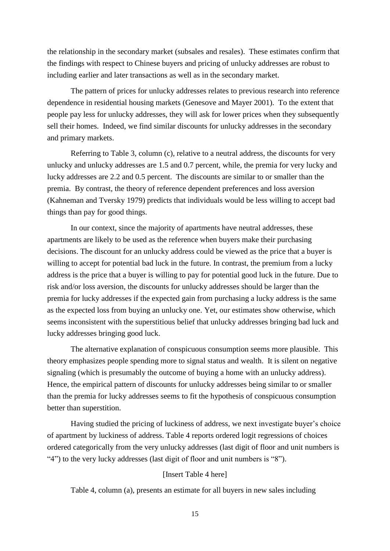the relationship in the secondary market (subsales and resales). These estimates confirm that the findings with respect to Chinese buyers and pricing of unlucky addresses are robust to including earlier and later transactions as well as in the secondary market.

The pattern of prices for unlucky addresses relates to previous research into reference dependence in residential housing markets (Genesove and Mayer 2001). To the extent that people pay less for unlucky addresses, they will ask for lower prices when they subsequently sell their homes. Indeed, we find similar discounts for unlucky addresses in the secondary and primary markets.

Referring to Table 3, column (c), relative to a neutral address, the discounts for very unlucky and unlucky addresses are 1.5 and 0.7 percent, while, the premia for very lucky and lucky addresses are 2.2 and 0.5 percent. The discounts are similar to or smaller than the premia. By contrast, the theory of reference dependent preferences and loss aversion (Kahneman and Tversky 1979) predicts that individuals would be less willing to accept bad things than pay for good things.

In our context, since the majority of apartments have neutral addresses, these apartments are likely to be used as the reference when buyers make their purchasing decisions. The discount for an unlucky address could be viewed as the price that a buyer is willing to accept for potential bad luck in the future. In contrast, the premium from a lucky address is the price that a buyer is willing to pay for potential good luck in the future. Due to risk and/or loss aversion, the discounts for unlucky addresses should be larger than the premia for lucky addresses if the expected gain from purchasing a lucky address is the same as the expected loss from buying an unlucky one. Yet, our estimates show otherwise, which seems inconsistent with the superstitious belief that unlucky addresses bringing bad luck and lucky addresses bringing good luck.

The alternative explanation of conspicuous consumption seems more plausible. This theory emphasizes people spending more to signal status and wealth. It is silent on negative signaling (which is presumably the outcome of buying a home with an unlucky address). Hence, the empirical pattern of discounts for unlucky addresses being similar to or smaller than the premia for lucky addresses seems to fit the hypothesis of conspicuous consumption better than superstition.

Having studied the pricing of luckiness of address, we next investigate buyer's choice of apartment by luckiness of address. Table 4 reports ordered logit regressions of choices ordered categorically from the very unlucky addresses (last digit of floor and unit numbers is "4") to the very lucky addresses (last digit of floor and unit numbers is "8").

#### [Insert Table 4 here]

Table 4, column (a), presents an estimate for all buyers in new sales including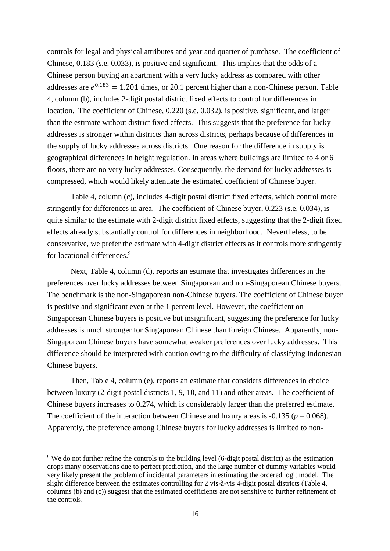controls for legal and physical attributes and year and quarter of purchase. The coefficient of Chinese, 0.183 (s.e. 0.033), is positive and significant. This implies that the odds of a Chinese person buying an apartment with a very lucky address as compared with other addresses are  $e^{0.183} = 1.201$  times, or 20.1 percent higher than a non-Chinese person. Table 4, column (b), includes 2-digit postal district fixed effects to control for differences in location. The coefficient of Chinese, 0.220 (s.e. 0.032), is positive, significant, and larger than the estimate without district fixed effects. This suggests that the preference for lucky addresses is stronger within districts than across districts, perhaps because of differences in the supply of lucky addresses across districts. One reason for the difference in supply is geographical differences in height regulation. In areas where buildings are limited to 4 or 6 floors, there are no very lucky addresses. Consequently, the demand for lucky addresses is compressed, which would likely attenuate the estimated coefficient of Chinese buyer.

Table 4, column (c), includes 4-digit postal district fixed effects, which control more stringently for differences in area. The coefficient of Chinese buyer, 0.223 (s.e. 0.034), is quite similar to the estimate with 2-digit district fixed effects, suggesting that the 2-digit fixed effects already substantially control for differences in neighborhood. Nevertheless, to be conservative, we prefer the estimate with 4-digit district effects as it controls more stringently for locational differences. 9

Next, Table 4, column (d), reports an estimate that investigates differences in the preferences over lucky addresses between Singaporean and non-Singaporean Chinese buyers. The benchmark is the non-Singaporean non-Chinese buyers. The coefficient of Chinese buyer is positive and significant even at the 1 percent level. However, the coefficient on Singaporean Chinese buyers is positive but insignificant, suggesting the preference for lucky addresses is much stronger for Singaporean Chinese than foreign Chinese. Apparently, non-Singaporean Chinese buyers have somewhat weaker preferences over lucky addresses. This difference should be interpreted with caution owing to the difficulty of classifying Indonesian Chinese buyers.

Then, Table 4, column (e), reports an estimate that considers differences in choice between luxury (2-digit postal districts 1, 9, 10, and 11) and other areas. The coefficient of Chinese buyers increases to 0.274, which is considerably larger than the preferred estimate. The coefficient of the interaction between Chinese and luxury areas is  $-0.135$  ( $p = 0.068$ ). Apparently, the preference among Chinese buyers for lucky addresses is limited to non-

-

<sup>9</sup> We do not further refine the controls to the building level (6-digit postal district) as the estimation drops many observations due to perfect prediction, and the large number of dummy variables would very likely present the problem of incidental parameters in estimating the ordered logit model. The slight difference between the estimates controlling for 2 vis-à-vis 4-digit postal districts (Table 4, columns (b) and (c)) suggest that the estimated coefficients are not sensitive to further refinement of the controls.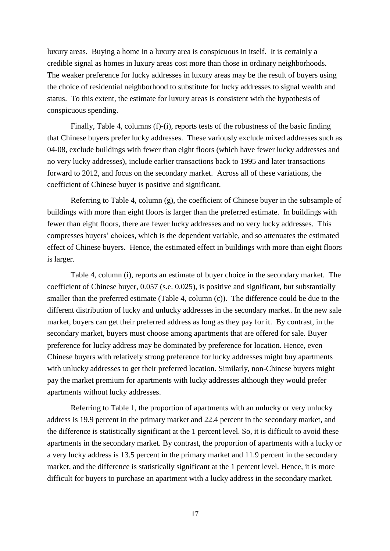luxury areas. Buying a home in a luxury area is conspicuous in itself. It is certainly a credible signal as homes in luxury areas cost more than those in ordinary neighborhoods. The weaker preference for lucky addresses in luxury areas may be the result of buyers using the choice of residential neighborhood to substitute for lucky addresses to signal wealth and status. To this extent, the estimate for luxury areas is consistent with the hypothesis of conspicuous spending.

Finally, Table 4, columns (f)-(i), reports tests of the robustness of the basic finding that Chinese buyers prefer lucky addresses. These variously exclude mixed addresses such as 04-08, exclude buildings with fewer than eight floors (which have fewer lucky addresses and no very lucky addresses), include earlier transactions back to 1995 and later transactions forward to 2012, and focus on the secondary market. Across all of these variations, the coefficient of Chinese buyer is positive and significant.

Referring to Table 4, column (g), the coefficient of Chinese buyer in the subsample of buildings with more than eight floors is larger than the preferred estimate. In buildings with fewer than eight floors, there are fewer lucky addresses and no very lucky addresses. This compresses buyers' choices, which is the dependent variable, and so attenuates the estimated effect of Chinese buyers. Hence, the estimated effect in buildings with more than eight floors is larger.

Table 4, column (i), reports an estimate of buyer choice in the secondary market. The coefficient of Chinese buyer, 0.057 (s.e. 0.025), is positive and significant, but substantially smaller than the preferred estimate (Table 4, column (c)). The difference could be due to the different distribution of lucky and unlucky addresses in the secondary market. In the new sale market, buyers can get their preferred address as long as they pay for it. By contrast, in the secondary market, buyers must choose among apartments that are offered for sale. Buyer preference for lucky address may be dominated by preference for location. Hence, even Chinese buyers with relatively strong preference for lucky addresses might buy apartments with unlucky addresses to get their preferred location. Similarly, non-Chinese buyers might pay the market premium for apartments with lucky addresses although they would prefer apartments without lucky addresses.

Referring to Table 1, the proportion of apartments with an unlucky or very unlucky address is 19.9 percent in the primary market and 22.4 percent in the secondary market, and the difference is statistically significant at the 1 percent level. So, it is difficult to avoid these apartments in the secondary market. By contrast, the proportion of apartments with a lucky or a very lucky address is 13.5 percent in the primary market and 11.9 percent in the secondary market, and the difference is statistically significant at the 1 percent level. Hence, it is more difficult for buyers to purchase an apartment with a lucky address in the secondary market.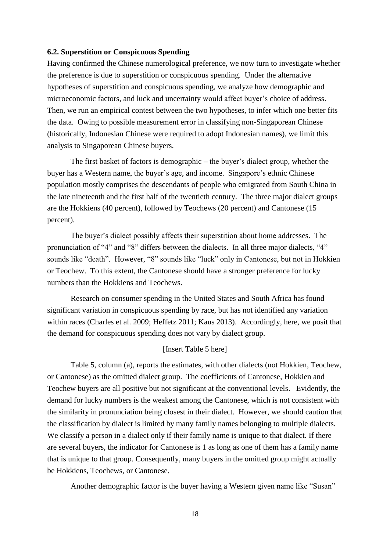#### **6.2. Superstition or Conspicuous Spending**

Having confirmed the Chinese numerological preference, we now turn to investigate whether the preference is due to superstition or conspicuous spending. Under the alternative hypotheses of superstition and conspicuous spending, we analyze how demographic and microeconomic factors, and luck and uncertainty would affect buyer's choice of address. Then, we run an empirical contest between the two hypotheses, to infer which one better fits the data. Owing to possible measurement error in classifying non-Singaporean Chinese (historically, Indonesian Chinese were required to adopt Indonesian names), we limit this analysis to Singaporean Chinese buyers.

The first basket of factors is demographic – the buyer's dialect group, whether the buyer has a Western name, the buyer's age, and income. Singapore's ethnic Chinese population mostly comprises the descendants of people who emigrated from South China in the late nineteenth and the first half of the twentieth century. The three major dialect groups are the Hokkiens (40 percent), followed by Teochews (20 percent) and Cantonese (15 percent).

The buyer's dialect possibly affects their superstition about home addresses. The pronunciation of "4" and "8" differs between the dialects. In all three major dialects, "4" sounds like "death". However, "8" sounds like "luck" only in Cantonese, but not in Hokkien or Teochew. To this extent, the Cantonese should have a stronger preference for lucky numbers than the Hokkiens and Teochews.

Research on consumer spending in the United States and South Africa has found significant variation in conspicuous spending by race, but has not identified any variation within races (Charles et al. 2009; Heffetz 2011; Kaus 2013). Accordingly, here, we posit that the demand for conspicuous spending does not vary by dialect group.

#### [Insert Table 5 here]

Table 5, column (a), reports the estimates, with other dialects (not Hokkien, Teochew, or Cantonese) as the omitted dialect group. The coefficients of Cantonese, Hokkien and Teochew buyers are all positive but not significant at the conventional levels. Evidently, the demand for lucky numbers is the weakest among the Cantonese, which is not consistent with the similarity in pronunciation being closest in their dialect. However, we should caution that the classification by dialect is limited by many family names belonging to multiple dialects. We classify a person in a dialect only if their family name is unique to that dialect. If there are several buyers, the indicator for Cantonese is 1 as long as one of them has a family name that is unique to that group. Consequently, many buyers in the omitted group might actually be Hokkiens, Teochews, or Cantonese.

Another demographic factor is the buyer having a Western given name like "Susan"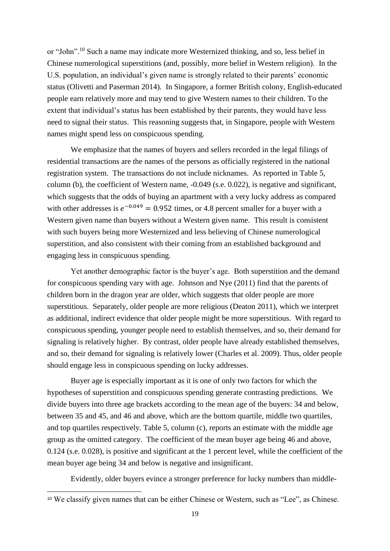or "John".<sup>10</sup> Such a name may indicate more Westernized thinking, and so, less belief in Chinese numerological superstitions (and, possibly, more belief in Western religion). In the U.S. population, an individual's given name is strongly related to their parents' economic status (Olivetti and Paserman 2014). In Singapore, a former British colony, English-educated people earn relatively more and may tend to give Western names to their children. To the extent that individual's status has been established by their parents, they would have less need to signal their status. This reasoning suggests that, in Singapore, people with Western names might spend less on conspicuous spending.

We emphasize that the names of buyers and sellers recorded in the legal filings of residential transactions are the names of the persons as officially registered in the national registration system. The transactions do not include nicknames. As reported in Table 5, column (b), the coefficient of Western name, -0.049 (s.e. 0.022), is negative and significant, which suggests that the odds of buying an apartment with a very lucky address as compared with other addresses is  $e^{-0.049} = 0.952$  times, or 4.8 percent smaller for a buyer with a Western given name than buyers without a Western given name. This result is consistent with such buyers being more Westernized and less believing of Chinese numerological superstition, and also consistent with their coming from an established background and engaging less in conspicuous spending.

Yet another demographic factor is the buyer's age. Both superstition and the demand for conspicuous spending vary with age. Johnson and Nye (2011) find that the parents of children born in the dragon year are older, which suggests that older people are more superstitious. Separately, older people are more religious (Deaton 2011), which we interpret as additional, indirect evidence that older people might be more superstitious. With regard to conspicuous spending, younger people need to establish themselves, and so, their demand for signaling is relatively higher. By contrast, older people have already established themselves, and so, their demand for signaling is relatively lower (Charles et al. 2009). Thus, older people should engage less in conspicuous spending on lucky addresses.

Buyer age is especially important as it is one of only two factors for which the hypotheses of superstition and conspicuous spending generate contrasting predictions. We divide buyers into three age brackets according to the mean age of the buyers: 34 and below, between 35 and 45, and 46 and above, which are the bottom quartile, middle two quartiles, and top quartiles respectively. Table 5, column (c), reports an estimate with the middle age group as the omitted category. The coefficient of the mean buyer age being 46 and above, 0.124 (s.e. 0.028), is positive and significant at the 1 percent level, while the coefficient of the mean buyer age being 34 and below is negative and insignificant.

Evidently, older buyers evince a stronger preference for lucky numbers than middle-

-

<sup>10</sup> We classify given names that can be either Chinese or Western, such as "Lee", as Chinese.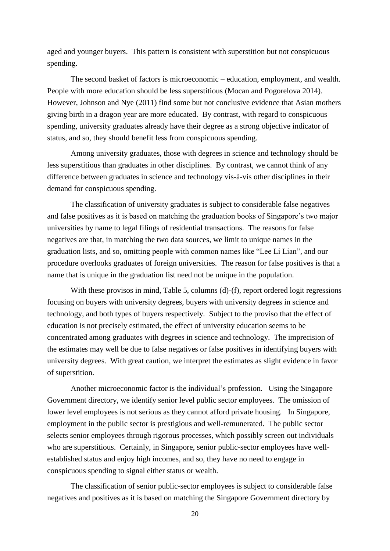aged and younger buyers. This pattern is consistent with superstition but not conspicuous spending.

The second basket of factors is microeconomic – education, employment, and wealth. People with more education should be less superstitious (Mocan and Pogorelova 2014). However, Johnson and Nye (2011) find some but not conclusive evidence that Asian mothers giving birth in a dragon year are more educated. By contrast, with regard to conspicuous spending, university graduates already have their degree as a strong objective indicator of status, and so, they should benefit less from conspicuous spending.

Among university graduates, those with degrees in science and technology should be less superstitious than graduates in other disciplines. By contrast, we cannot think of any difference between graduates in science and technology vis-à-vis other disciplines in their demand for conspicuous spending.

The classification of university graduates is subject to considerable false negatives and false positives as it is based on matching the graduation books of Singapore's two major universities by name to legal filings of residential transactions. The reasons for false negatives are that, in matching the two data sources, we limit to unique names in the graduation lists, and so, omitting people with common names like "Lee Li Lian", and our procedure overlooks graduates of foreign universities. The reason for false positives is that a name that is unique in the graduation list need not be unique in the population.

With these provisos in mind, Table 5, columns (d)-(f), report ordered logit regressions focusing on buyers with university degrees, buyers with university degrees in science and technology, and both types of buyers respectively. Subject to the proviso that the effect of education is not precisely estimated, the effect of university education seems to be concentrated among graduates with degrees in science and technology. The imprecision of the estimates may well be due to false negatives or false positives in identifying buyers with university degrees. With great caution, we interpret the estimates as slight evidence in favor of superstition.

Another microeconomic factor is the individual's profession. Using the Singapore Government directory, we identify senior level public sector employees. The omission of lower level employees is not serious as they cannot afford private housing. In Singapore, employment in the public sector is prestigious and well-remunerated. The public sector selects senior employees through rigorous processes, which possibly screen out individuals who are superstitious. Certainly, in Singapore, senior public-sector employees have wellestablished status and enjoy high incomes, and so, they have no need to engage in conspicuous spending to signal either status or wealth.

The classification of senior public-sector employees is subject to considerable false negatives and positives as it is based on matching the Singapore Government directory by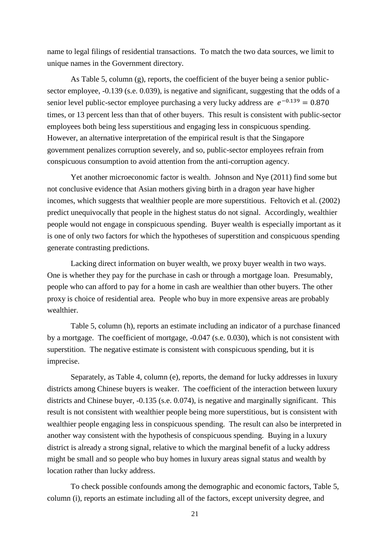name to legal filings of residential transactions. To match the two data sources, we limit to unique names in the Government directory.

As Table 5, column (g), reports, the coefficient of the buyer being a senior publicsector employee, -0.139 (s.e. 0.039), is negative and significant, suggesting that the odds of a senior level public-sector employee purchasing a very lucky address are  $e^{-0.139} = 0.870$ times, or 13 percent less than that of other buyers. This result is consistent with public-sector employees both being less superstitious and engaging less in conspicuous spending. However, an alternative interpretation of the empirical result is that the Singapore government penalizes corruption severely, and so, public-sector employees refrain from conspicuous consumption to avoid attention from the anti-corruption agency.

Yet another microeconomic factor is wealth. Johnson and Nye (2011) find some but not conclusive evidence that Asian mothers giving birth in a dragon year have higher incomes, which suggests that wealthier people are more superstitious. Feltovich et al. (2002) predict unequivocally that people in the highest status do not signal. Accordingly, wealthier people would not engage in conspicuous spending. Buyer wealth is especially important as it is one of only two factors for which the hypotheses of superstition and conspicuous spending generate contrasting predictions.

Lacking direct information on buyer wealth, we proxy buyer wealth in two ways. One is whether they pay for the purchase in cash or through a mortgage loan. Presumably, people who can afford to pay for a home in cash are wealthier than other buyers. The other proxy is choice of residential area. People who buy in more expensive areas are probably wealthier.

Table 5, column (h), reports an estimate including an indicator of a purchase financed by a mortgage. The coefficient of mortgage, -0.047 (s.e. 0.030), which is not consistent with superstition. The negative estimate is consistent with conspicuous spending, but it is imprecise.

Separately, as Table 4, column (e), reports, the demand for lucky addresses in luxury districts among Chinese buyers is weaker. The coefficient of the interaction between luxury districts and Chinese buyer, -0.135 (s.e. 0.074), is negative and marginally significant. This result is not consistent with wealthier people being more superstitious, but is consistent with wealthier people engaging less in conspicuous spending. The result can also be interpreted in another way consistent with the hypothesis of conspicuous spending. Buying in a luxury district is already a strong signal, relative to which the marginal benefit of a lucky address might be small and so people who buy homes in luxury areas signal status and wealth by location rather than lucky address.

To check possible confounds among the demographic and economic factors, Table 5, column (i), reports an estimate including all of the factors, except university degree, and

21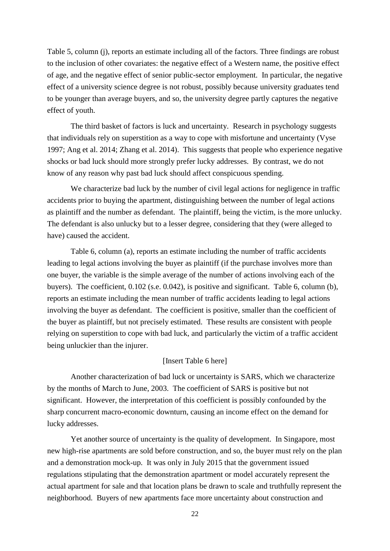Table 5, column (j), reports an estimate including all of the factors. Three findings are robust to the inclusion of other covariates: the negative effect of a Western name, the positive effect of age, and the negative effect of senior public-sector employment. In particular, the negative effect of a university science degree is not robust, possibly because university graduates tend to be younger than average buyers, and so, the university degree partly captures the negative effect of youth.

The third basket of factors is luck and uncertainty. Research in psychology suggests that individuals rely on superstition as a way to cope with misfortune and uncertainty (Vyse 1997; Ang et al. 2014; Zhang et al. 2014). This suggests that people who experience negative shocks or bad luck should more strongly prefer lucky addresses. By contrast, we do not know of any reason why past bad luck should affect conspicuous spending.

We characterize bad luck by the number of civil legal actions for negligence in traffic accidents prior to buying the apartment, distinguishing between the number of legal actions as plaintiff and the number as defendant. The plaintiff, being the victim, is the more unlucky. The defendant is also unlucky but to a lesser degree, considering that they (were alleged to have) caused the accident.

Table 6, column (a), reports an estimate including the number of traffic accidents leading to legal actions involving the buyer as plaintiff (if the purchase involves more than one buyer, the variable is the simple average of the number of actions involving each of the buyers). The coefficient, 0.102 (s.e. 0.042), is positive and significant. Table 6, column (b), reports an estimate including the mean number of traffic accidents leading to legal actions involving the buyer as defendant. The coefficient is positive, smaller than the coefficient of the buyer as plaintiff, but not precisely estimated. These results are consistent with people relying on superstition to cope with bad luck, and particularly the victim of a traffic accident being unluckier than the injurer.

#### [Insert Table 6 here]

Another characterization of bad luck or uncertainty is SARS, which we characterize by the months of March to June, 2003. The coefficient of SARS is positive but not significant. However, the interpretation of this coefficient is possibly confounded by the sharp concurrent macro-economic downturn, causing an income effect on the demand for lucky addresses.

Yet another source of uncertainty is the quality of development. In Singapore, most new high-rise apartments are sold before construction, and so, the buyer must rely on the plan and a demonstration mock-up. It was only in July 2015 that the government issued regulations stipulating that the demonstration apartment or model accurately represent the actual apartment for sale and that location plans be drawn to scale and truthfully represent the neighborhood. Buyers of new apartments face more uncertainty about construction and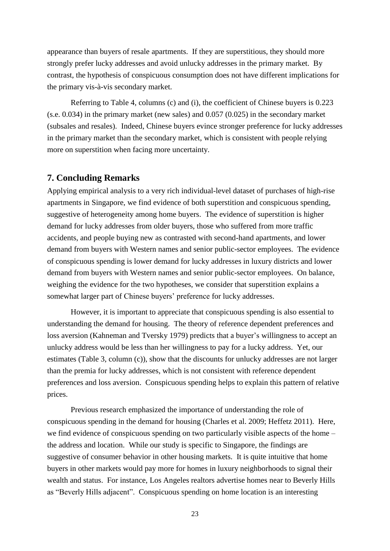appearance than buyers of resale apartments. If they are superstitious, they should more strongly prefer lucky addresses and avoid unlucky addresses in the primary market. By contrast, the hypothesis of conspicuous consumption does not have different implications for the primary vis-à-vis secondary market.

Referring to Table 4, columns (c) and (i), the coefficient of Chinese buyers is 0.223 (s.e. 0.034) in the primary market (new sales) and 0.057 (0.025) in the secondary market (subsales and resales). Indeed, Chinese buyers evince stronger preference for lucky addresses in the primary market than the secondary market, which is consistent with people relying more on superstition when facing more uncertainty.

#### **7. Concluding Remarks**

Applying empirical analysis to a very rich individual-level dataset of purchases of high-rise apartments in Singapore, we find evidence of both superstition and conspicuous spending, suggestive of heterogeneity among home buyers. The evidence of superstition is higher demand for lucky addresses from older buyers, those who suffered from more traffic accidents, and people buying new as contrasted with second-hand apartments, and lower demand from buyers with Western names and senior public-sector employees. The evidence of conspicuous spending is lower demand for lucky addresses in luxury districts and lower demand from buyers with Western names and senior public-sector employees. On balance, weighing the evidence for the two hypotheses, we consider that superstition explains a somewhat larger part of Chinese buyers' preference for lucky addresses.

However, it is important to appreciate that conspicuous spending is also essential to understanding the demand for housing. The theory of reference dependent preferences and loss aversion (Kahneman and Tversky 1979) predicts that a buyer's willingness to accept an unlucky address would be less than her willingness to pay for a lucky address. Yet, our estimates (Table 3, column (c)), show that the discounts for unlucky addresses are not larger than the premia for lucky addresses, which is not consistent with reference dependent preferences and loss aversion. Conspicuous spending helps to explain this pattern of relative prices.

Previous research emphasized the importance of understanding the role of conspicuous spending in the demand for housing (Charles et al. 2009; Heffetz 2011). Here, we find evidence of conspicuous spending on two particularly visible aspects of the home – the address and location. While our study is specific to Singapore, the findings are suggestive of consumer behavior in other housing markets. It is quite intuitive that home buyers in other markets would pay more for homes in luxury neighborhoods to signal their wealth and status. For instance, Los Angeles realtors advertise homes near to Beverly Hills as "Beverly Hills adjacent". Conspicuous spending on home location is an interesting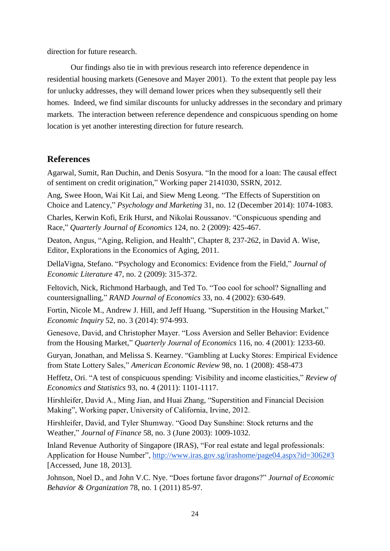direction for future research.

Our findings also tie in with previous research into reference dependence in residential housing markets (Genesove and Mayer 2001). To the extent that people pay less for unlucky addresses, they will demand lower prices when they subsequently sell their homes. Indeed, we find similar discounts for unlucky addresses in the secondary and primary markets. The interaction between reference dependence and conspicuous spending on home location is yet another interesting direction for future research.

#### **References**

Agarwal, Sumit, Ran Duchin, and Denis Sosyura. "In the mood for a loan: The causal effect of sentiment on credit origination," Working paper 2141030, SSRN, 2012.

Ang, Swee Hoon, Wai Kit Lai, and Siew Meng Leong. "The Effects of Superstition on Choice and Latency," *Psychology and Marketing* 31, no. 12 (December 2014): 1074-1083.

Charles, Kerwin Kofi, Erik Hurst, and Nikolai Roussanov. "Conspicuous spending and Race," *Quarterly Journal of Economics* 124, no. 2 (2009): 425-467.

Deaton, Angus, "Aging, Religion, and Health", Chapter 8, 237-262, in David A. Wise, Editor, Explorations in the Economics of Aging, 2011.

DellaVigna, Stefano. "Psychology and Economics: Evidence from the Field," *Journal of Economic Literature* 47, no. 2 (2009): 315-372.

Feltovich, Nick, Richmond Harbaugh, and Ted To. "Too cool for school? Signalling and countersignalling," *RAND Journal of Economics* 33, no. 4 (2002): 630-649.

Fortin, Nicole M., Andrew J. Hill, and Jeff Huang. "Superstition in the Housing Market," *Economic Inquiry* 52, no. 3 (2014): 974-993.

Genesove, David, and Christopher Mayer. "Loss Aversion and Seller Behavior: Evidence from the Housing Market," *Quarterly Journal of Economics* 116, no. 4 (2001): 1233-60.

Guryan, Jonathan, and Melissa S. Kearney. "Gambling at Lucky Stores: Empirical Evidence from State Lottery Sales," *American Economic Review* 98, no. 1 (2008): 458-473

Heffetz, Ori. "A test of conspicuous spending: Visibility and income elasticities," *Review of Economics and Statistics* 93, no. 4 (2011): 1101-1117.

Hirshleifer, David A., Ming Jian, and Huai Zhang, "Superstition and Financial Decision Making", Working paper, University of California, Irvine, 2012.

Hirshleifer, David, and Tyler Shumway. "Good Day Sunshine: Stock returns and the Weather," *Journal of Finance* 58, no. 3 (June 2003): 1009-1032.

Inland Revenue Authority of Singapore (IRAS), "For real estate and legal professionals: Application for House Number", <http://www.iras.gov.sg/irashome/page04.aspx?id=3062#3> [Accessed, June 18, 2013].

Johnson, Noel D., and John V.C. Nye. "Does fortune favor dragons?" *Journal of Economic Behavior & Organization* 78, no. 1 (2011) 85-97.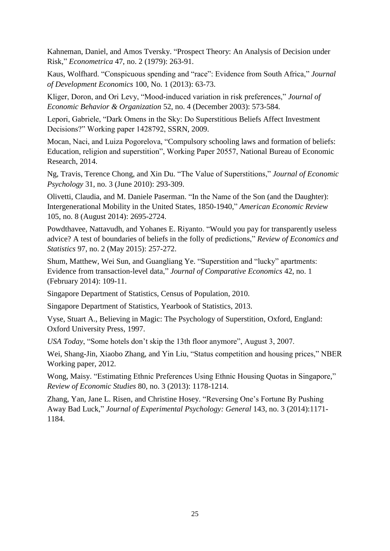Kahneman, Daniel, and Amos Tversky. "Prospect Theory: An Analysis of Decision under Risk," *Econometrica* 47, no. 2 (1979): 263-91.

Kaus, Wolfhard. "Conspicuous spending and "race": Evidence from South Africa," *Journal of Development Economics* 100, No. 1 (2013): 63-73.

Kliger, Doron, and Ori Levy, "Mood-induced variation in risk preferences," *Journal of Economic Behavior & Organization* 52, no. 4 (December 2003): 573-584.

Lepori, Gabriele, "Dark Omens in the Sky: Do Superstitious Beliefs Affect Investment Decisions?" Working paper 1428792, SSRN, 2009.

Mocan, Naci, and Luiza Pogorelova, "Compulsory schooling laws and formation of beliefs: Education, religion and superstition", Working Paper 20557, National Bureau of Economic Research, 2014.

Ng, Travis, Terence Chong, and Xin Du. "The Value of Superstitions," *Journal of Economic Psychology* 31, no. 3 (June 2010): 293-309.

Olivetti, Claudia, and M. Daniele Paserman. "In the Name of the Son (and the Daughter): Intergenerational Mobility in the United States, 1850-1940," *American Economic Review* 105, no. 8 (August 2014): 2695-2724.

Powdthavee, Nattavudh, and Yohanes E. Riyanto. "Would you pay for transparently useless advice? A test of boundaries of beliefs in the folly of predictions," *Review of Economics and Statistics* 97, no. 2 (May 2015): 257-272.

Shum, Matthew, Wei Sun, and Guangliang Ye. "Superstition and "lucky" apartments: Evidence from transaction-level data," *Journal of Comparative Economics* 42, no. 1 (February 2014): 109-11.

Singapore Department of Statistics, Census of Population, 2010.

Singapore Department of Statistics, Yearbook of Statistics, 2013.

Vyse, Stuart A., Believing in Magic: The Psychology of Superstition, Oxford, England: Oxford University Press, 1997.

*USA Today*, "Some hotels don't skip the 13th floor anymore", August 3, 2007.

Wei, Shang-Jin, Xiaobo Zhang, and Yin Liu, "Status competition and housing prices," NBER Working paper, 2012.

Wong, Maisy. "Estimating Ethnic Preferences Using Ethnic Housing Quotas in Singapore," *Review of Economic Studies* 80, no. 3 (2013): 1178-1214.

Zhang, Yan, Jane L. Risen, and Christine Hosey. "Reversing One's Fortune By Pushing Away Bad Luck," *Journal of Experimental Psychology: General* 143, no. 3 (2014):1171- 1184.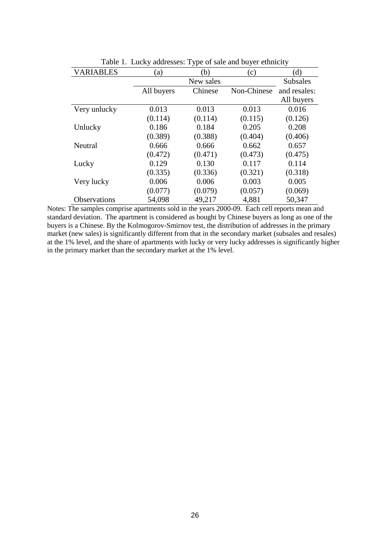|                     |            | ╯▴        |             |                 |
|---------------------|------------|-----------|-------------|-----------------|
| <b>VARIABLES</b>    | (a)        | (b)       | (c)         | (d)             |
|                     |            | New sales |             | <b>Subsales</b> |
|                     | All buyers | Chinese   | Non-Chinese | and resales:    |
|                     |            |           |             | All buyers      |
| Very unlucky        | 0.013      | 0.013     | 0.013       | 0.016           |
|                     | (0.114)    | (0.114)   | (0.115)     | (0.126)         |
| Unlucky             | 0.186      | 0.184     | 0.205       | 0.208           |
|                     | (0.389)    | (0.388)   | (0.404)     | (0.406)         |
| Neutral             | 0.666      | 0.666     | 0.662       | 0.657           |
|                     | (0.472)    | (0.471)   | (0.473)     | (0.475)         |
| Lucky               | 0.129      | 0.130     | 0.117       | 0.114           |
|                     | (0.335)    | (0.336)   | (0.321)     | (0.318)         |
| Very lucky          | 0.006      | 0.006     | 0.003       | 0.005           |
|                     | (0.077)    | (0.079)   | (0.057)     | (0.069)         |
| <b>Observations</b> | 54,098     | 49,217    | 4,881       | 50,347          |

Table 1. Lucky addresses: Type of sale and buyer ethnicity

Notes: The samples comprise apartments sold in the years 2000-09. Each cell reports mean and standard deviation. The apartment is considered as bought by Chinese buyers as long as one of the buyers is a Chinese. By the Kolmogorov-Smirnov test, the distribution of addresses in the primary market (new sales) is significantly different from that in the secondary market (subsales and resales) at the 1% level, and the share of apartments with lucky or very lucky addresses is significantly higher in the primary market than the secondary market at the 1% level.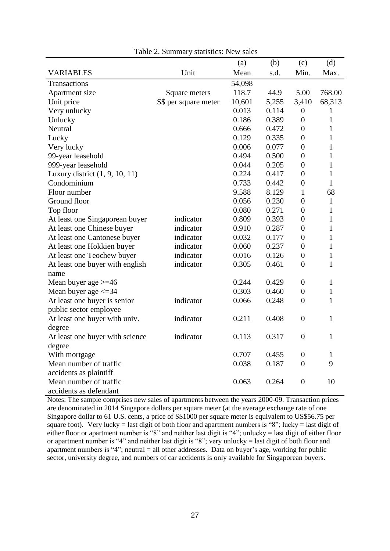|                                  |                      | (a)    | (b)   | (c)              | (d)          |
|----------------------------------|----------------------|--------|-------|------------------|--------------|
| <b>VARIABLES</b>                 | Unit                 | Mean   | s.d.  | Min.             | Max.         |
| Transactions                     |                      | 54,098 |       |                  |              |
| Apartment size                   | Square meters        | 118.7  | 44.9  | 5.00             | 768.00       |
| Unit price                       | S\$ per square meter | 10,601 | 5,255 | 3,410            | 68,313       |
| Very unlucky                     |                      | 0.013  | 0.114 | $\boldsymbol{0}$ | 1            |
| Unlucky                          |                      | 0.186  | 0.389 | $\overline{0}$   | $\mathbf{1}$ |
| Neutral                          |                      | 0.666  | 0.472 | $\overline{0}$   | 1            |
| Lucky                            |                      | 0.129  | 0.335 | $\boldsymbol{0}$ | $\mathbf{1}$ |
| Very lucky                       |                      | 0.006  | 0.077 | $\overline{0}$   | 1            |
| 99-year leasehold                |                      | 0.494  | 0.500 | $\boldsymbol{0}$ | $\mathbf{1}$ |
| 999-year leasehold               |                      | 0.044  | 0.205 | $\overline{0}$   | $\mathbf{1}$ |
| Luxury district $(1, 9, 10, 11)$ |                      | 0.224  | 0.417 | $\overline{0}$   | $\mathbf{1}$ |
| Condominium                      |                      | 0.733  | 0.442 | $\boldsymbol{0}$ | $\mathbf{1}$ |
| Floor number                     |                      | 9.588  | 8.129 | 1                | 68           |
| Ground floor                     |                      | 0.056  | 0.230 | $\overline{0}$   | $\mathbf{1}$ |
| Top floor                        |                      | 0.080  | 0.271 | $\overline{0}$   | $\mathbf{1}$ |
| At least one Singaporean buyer   | indicator            | 0.809  | 0.393 | $\overline{0}$   | $\mathbf{1}$ |
| At least one Chinese buyer       | indicator            | 0.910  | 0.287 | $\boldsymbol{0}$ | $\mathbf{1}$ |
| At least one Cantonese buyer     | indicator            | 0.032  | 0.177 | $\overline{0}$   | $\mathbf{1}$ |
| At least one Hokkien buyer       | indicator            | 0.060  | 0.237 | $\boldsymbol{0}$ | $\mathbf{1}$ |
| At least one Teochew buyer       | indicator            | 0.016  | 0.126 | $\boldsymbol{0}$ | $\mathbf{1}$ |
| At least one buyer with english  | indicator            | 0.305  | 0.461 | $\overline{0}$   | $\mathbf{1}$ |
| name                             |                      |        |       |                  |              |
| Mean buyer age $>=$ 46           |                      | 0.244  | 0.429 | $\overline{0}$   | $\mathbf{1}$ |
| Mean buyer age $\leq$ 34         |                      | 0.303  | 0.460 | $\boldsymbol{0}$ | $\mathbf{1}$ |
| At least one buyer is senior     | indicator            | 0.066  | 0.248 | $\boldsymbol{0}$ | $\mathbf{1}$ |
| public sector employee           |                      |        |       |                  |              |
| At least one buyer with univ.    | indicator            | 0.211  | 0.408 | $\boldsymbol{0}$ | $\mathbf{1}$ |
| degree                           |                      |        |       |                  |              |
| At least one buyer with science  | indicator            | 0.113  | 0.317 | $\boldsymbol{0}$ | $\mathbf{1}$ |
| degree                           |                      |        |       |                  |              |
| With mortgage                    |                      | 0.707  | 0.455 | $\boldsymbol{0}$ | 1            |
| Mean number of traffic           |                      | 0.038  | 0.187 | $\boldsymbol{0}$ | 9            |
| accidents as plaintiff           |                      |        |       |                  |              |
| Mean number of traffic           |                      | 0.063  | 0.264 | $\boldsymbol{0}$ | 10           |
| accidents as defendant           |                      |        |       |                  |              |

|  | Table 2. Summary statistics: New sales |  |  |  |
|--|----------------------------------------|--|--|--|
|--|----------------------------------------|--|--|--|

Notes: The sample comprises new sales of apartments between the years 2000-09. Transaction prices are denominated in 2014 Singapore dollars per square meter (at the average exchange rate of one Singapore dollar to 61 U.S. cents, a price of S\$1000 per square meter is equivalent to US\$56.75 per square foot). Very lucky = last digit of both floor and apartment numbers is "8"; lucky = last digit of either floor or apartment number is "8" and neither last digit is "4"; unlucky = last digit of either floor or apartment number is "4" and neither last digit is "8"; very unlucky = last digit of both floor and apartment numbers is "4"; neutral  $=$  all other addresses. Data on buyer's age, working for public sector, university degree, and numbers of car accidents is only available for Singaporean buyers.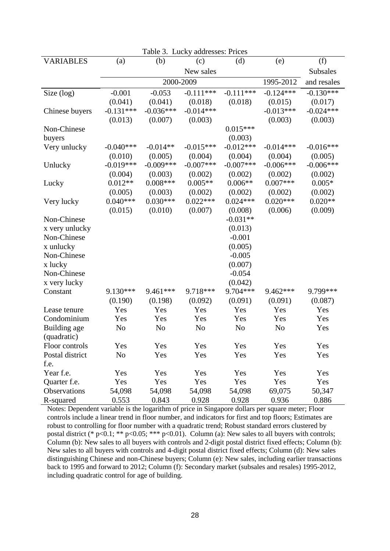| Table 3. Lucky addresses: Prices |             |             |                |                |                |             |  |
|----------------------------------|-------------|-------------|----------------|----------------|----------------|-------------|--|
| <b>VARIABLES</b>                 | (a)         | (b)         | (c)            | (d)            | (e)            | (f)         |  |
|                                  |             |             | New sales      |                |                | Subsales    |  |
|                                  |             | 2000-2009   |                |                | 1995-2012      | and resales |  |
| Size (log)                       | $-0.001$    | $-0.053$    | $-0.111***$    | $-0.111***$    | $-0.124***$    | $-0.130***$ |  |
|                                  | (0.041)     | (0.041)     | (0.018)        | (0.018)        | (0.015)        | (0.017)     |  |
| Chinese buyers                   | $-0.131***$ | $-0.036***$ | $-0.014***$    |                | $-0.013***$    | $-0.024***$ |  |
|                                  | (0.013)     | (0.007)     | (0.003)        |                | (0.003)        | (0.003)     |  |
| Non-Chinese                      |             |             |                | $0.015***$     |                |             |  |
| buyers                           |             |             |                | (0.003)        |                |             |  |
| Very unlucky                     | $-0.040***$ | $-0.014**$  | $-0.015***$    | $-0.012***$    | $-0.014***$    | $-0.016***$ |  |
|                                  | (0.010)     | (0.005)     | (0.004)        | (0.004)        | (0.004)        | (0.005)     |  |
| Unlucky                          | $-0.019***$ | $-0.009***$ | $-0.007$ ***   | $-0.007$ ***   | $-0.006***$    | $-0.006***$ |  |
|                                  | (0.004)     | (0.003)     | (0.002)        | (0.002)        | (0.002)        | (0.002)     |  |
| Lucky                            | $0.012**$   | $0.008***$  | $0.005**$      | $0.006**$      | $0.007***$     | $0.005*$    |  |
|                                  | (0.005)     | (0.003)     | (0.002)        | (0.002)        | (0.002)        | (0.002)     |  |
| Very lucky                       | $0.040***$  | $0.030***$  | $0.022***$     | $0.024***$     | $0.020***$     | $0.020**$   |  |
|                                  | (0.015)     | (0.010)     | (0.007)        | (0.008)        | (0.006)        | (0.009)     |  |
| Non-Chinese                      |             |             |                | $-0.031**$     |                |             |  |
| x very unlucky                   |             |             |                | (0.013)        |                |             |  |
| Non-Chinese                      |             |             |                | $-0.001$       |                |             |  |
| x unlucky                        |             |             |                | (0.005)        |                |             |  |
| Non-Chinese                      |             |             |                | $-0.005$       |                |             |  |
| x lucky                          |             |             |                | (0.007)        |                |             |  |
| Non-Chinese                      |             |             |                | $-0.054$       |                |             |  |
| x very lucky                     |             |             |                | (0.042)        |                |             |  |
| Constant                         | 9.130***    | 9.461***    | 9.718***       | 9.704***       | 9.462***       | 9.799***    |  |
|                                  | (0.190)     | (0.198)     | (0.092)        | (0.091)        | (0.091)        | (0.087)     |  |
| Lease tenure                     | Yes         | Yes         | Yes            | Yes            | Yes            | Yes         |  |
| Condominium                      | Yes         | Yes         | Yes            | Yes            | Yes            | Yes         |  |
| Building age                     | No          | No          | N <sub>o</sub> | N <sub>o</sub> | N <sub>o</sub> | Yes         |  |
| (quadratic)                      |             |             |                |                |                |             |  |
| Floor controls                   | Yes         | Yes         | Yes            | Yes            | Yes            | Yes         |  |
| Postal district                  | No          | Yes         | Yes            | Yes            | Yes            | Yes         |  |
| f.e.                             |             |             |                |                |                |             |  |
| Year f.e.                        | Yes         | Yes         | Yes            | Yes            | Yes            | Yes         |  |
| Quarter f.e.                     | Yes         | Yes         | Yes            | Yes            | Yes            | Yes         |  |
| Observations                     | 54,098      | 54,098      | 54,098         | 54,098         | 69,075         | 50,347      |  |
| R-squared                        | 0.553       | 0.843       | 0.928          | 0.928          | 0.936          | 0.886       |  |

Notes: Dependent variable is the logarithm of price in Singapore dollars per square meter; Floor controls include a linear trend in floor number, and indicators for first and top floors; Estimates are robust to controlling for floor number with a quadratic trend; Robust standard errors clustered by postal district (\* p<0.1; \*\* p<0.05; \*\*\* p<0.01). Column (a): New sales to all buyers with controls; Column (b): New sales to all buyers with controls and 2-digit postal district fixed effects; Column (b): New sales to all buyers with controls and 4-digit postal district fixed effects; Column (d): New sales distinguishing Chinese and non-Chinese buyers; Column (e): New sales, including earlier transactions back to 1995 and forward to 2012; Column (f): Secondary market (subsales and resales) 1995-2012, including quadratic control for age of building.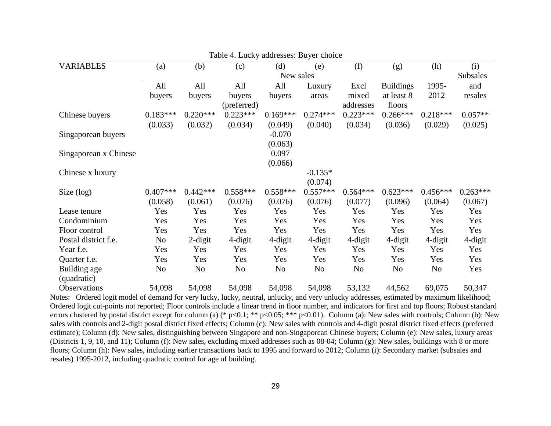|                       |                |            | Table 4. Lucky addresses. Buyel choice |            |            |            |                  |            |                 |
|-----------------------|----------------|------------|----------------------------------------|------------|------------|------------|------------------|------------|-----------------|
| <b>VARIABLES</b>      | (a)            | (b)        | (c)                                    | (d)        | (e)        | (f)        | (g)              | (h)        | (i)             |
|                       |                |            |                                        | New sales  |            |            |                  |            | <b>Subsales</b> |
|                       | All            | All        | All                                    | All        | Luxury     | Excl       | <b>Buildings</b> | 1995-      | and             |
|                       | buyers         | buyers     | buyers                                 | buyers     | areas      | mixed      | at least 8       | 2012       | resales         |
|                       |                |            | (preferred)                            |            |            | addresses  | floors           |            |                 |
| Chinese buyers        | $0.183***$     | $0.220***$ | $0.223***$                             | $0.169***$ | $0.274***$ | $0.223***$ | $0.266***$       | $0.218***$ | $0.057**$       |
|                       | (0.033)        | (0.032)    | (0.034)                                | (0.049)    | (0.040)    | (0.034)    | (0.036)          | (0.029)    | (0.025)         |
| Singaporean buyers    |                |            |                                        | $-0.070$   |            |            |                  |            |                 |
|                       |                |            |                                        | (0.063)    |            |            |                  |            |                 |
| Singaporean x Chinese |                |            |                                        | 0.097      |            |            |                  |            |                 |
|                       |                |            |                                        | (0.066)    |            |            |                  |            |                 |
| Chinese x luxury      |                |            |                                        |            | $-0.135*$  |            |                  |            |                 |
|                       |                |            |                                        |            | (0.074)    |            |                  |            |                 |
| Size $(log)$          | $0.407***$     | $0.442***$ | $0.558***$                             | $0.558***$ | $0.557***$ | $0.564***$ | $0.623***$       | $0.456***$ | $0.263***$      |
|                       | (0.058)        | (0.061)    | (0.076)                                | (0.076)    | (0.076)    | (0.077)    | (0.096)          | (0.064)    | (0.067)         |
| Lease tenure          | Yes            | Yes        | Yes                                    | Yes        | Yes        | Yes        | Yes              | Yes        | Yes             |
| Condominium           | Yes            | Yes        | Yes                                    | Yes        | Yes        | Yes        | Yes              | Yes        | Yes             |
| Floor control         | Yes            | Yes        | Yes                                    | Yes        | Yes        | Yes        | Yes              | Yes        | Yes             |
| Postal district f.e.  | N <sub>o</sub> | $2$ -digit | 4-digit                                | 4-digit    | 4-digit    | 4-digit    | 4-digit          | 4-digit    | 4-digit         |
| Year f.e.             | Yes            | Yes        | Yes                                    | Yes        | Yes        | Yes        | Yes              | Yes        | Yes             |
| Quarter f.e.          | Yes            | Yes        | Yes                                    | Yes        | Yes        | Yes        | Yes              | Yes        | Yes             |
| Building age          | N <sub>0</sub> | No         | No                                     | No         | No         | No         | No               | No         | Yes             |
| (quadratic)           |                |            |                                        |            |            |            |                  |            |                 |
| Observations          | 54,098         | 54,098     | 54,098                                 | 54,098     | 54,098     | 53,132     | 44,562           | 69,075     | 50,347          |

Table 4. Lucky addresses: Buyer choice

Notes: Ordered logit model of demand for very lucky, lucky, neutral, unlucky, and very unlucky addresses, estimated by maximum likelihood; Ordered logit cut-points not reported; Floor controls include a linear trend in floor number, and indicators for first and top floors; Robust standard errors clustered by postal district except for column (a) (\* p<0.1; \*\* p<0.05; \*\*\* p<0.01). Column (a): New sales with controls; Column (b): New sales with controls and 2-digit postal district fixed effects; Column (c): New sales with controls and 4-digit postal district fixed effects (preferred estimate); Column (d): New sales, distinguishing between Singapore and non-Singaporean Chinese buyers; Column (e): New sales, luxury areas (Districts 1, 9, 10, and 11); Column (f): New sales, excluding mixed addresses such as 08-04; Column (g): New sales, buildings with 8 or more floors; Column (h): New sales, including earlier transactions back to 1995 and forward to 2012; Column (i): Secondary market (subsales and resales) 1995-2012, including quadratic control for age of building.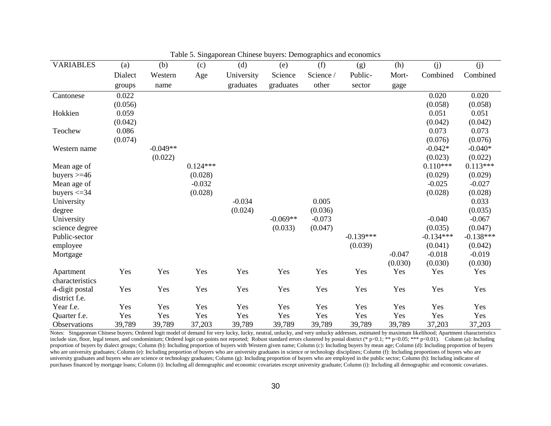| <b>VARIABLES</b>    | (a)     | (b)        | (c)        | (d)        | (e)        | (f)       | (g)         | (h)      | (j)         | (j)         |
|---------------------|---------|------------|------------|------------|------------|-----------|-------------|----------|-------------|-------------|
|                     | Dialect | Western    | Age        | University | Science    | Science / | Public-     | Mort-    | Combined    | Combined    |
|                     | groups  | name       |            | graduates  | graduates  | other     | sector      | gage     |             |             |
| Cantonese           | 0.022   |            |            |            |            |           |             |          | 0.020       | 0.020       |
|                     | (0.056) |            |            |            |            |           |             |          | (0.058)     | (0.058)     |
| Hokkien             | 0.059   |            |            |            |            |           |             |          | 0.051       | 0.051       |
|                     | (0.042) |            |            |            |            |           |             |          | (0.042)     | (0.042)     |
| Teochew             | 0.086   |            |            |            |            |           |             |          | 0.073       | 0.073       |
|                     | (0.074) |            |            |            |            |           |             |          | (0.076)     | (0.076)     |
| Western name        |         | $-0.049**$ |            |            |            |           |             |          | $-0.042*$   | $-0.040*$   |
|                     |         | (0.022)    |            |            |            |           |             |          | (0.023)     | (0.022)     |
| Mean age of         |         |            | $0.124***$ |            |            |           |             |          | $0.110***$  | $0.113***$  |
| buyers $>=$ 46      |         |            | (0.028)    |            |            |           |             |          | (0.029)     | (0.029)     |
| Mean age of         |         |            | $-0.032$   |            |            |           |             |          | $-0.025$    | $-0.027$    |
| buyers $\leq$ 34    |         |            | (0.028)    |            |            |           |             |          | (0.028)     | (0.028)     |
| University          |         |            |            | $-0.034$   |            | 0.005     |             |          |             | 0.033       |
| degree              |         |            |            | (0.024)    |            | (0.036)   |             |          |             | (0.035)     |
| University          |         |            |            |            | $-0.069**$ | $-0.073$  |             |          | $-0.040$    | $-0.067$    |
| science degree      |         |            |            |            | (0.033)    | (0.047)   |             |          | (0.035)     | (0.047)     |
| Public-sector       |         |            |            |            |            |           | $-0.139***$ |          | $-0.134***$ | $-0.138***$ |
| employee            |         |            |            |            |            |           | (0.039)     |          | (0.041)     | (0.042)     |
| Mortgage            |         |            |            |            |            |           |             | $-0.047$ | $-0.018$    | $-0.019$    |
|                     |         |            |            |            |            |           |             | (0.030)  | (0.030)     | (0.030)     |
| Apartment           | Yes     | Yes        | Yes        | Yes        | Yes        | Yes       | Yes         | Yes      | Yes         | Yes         |
| characteristics     |         |            |            |            |            |           |             |          |             |             |
| 4-digit postal      | Yes     | Yes        | Yes        | Yes        | Yes        | Yes       | Yes         | Yes      | Yes         | Yes         |
| district f.e.       |         |            |            |            |            |           |             |          |             |             |
| Year f.e.           | Yes     | Yes        | Yes        | Yes        | Yes        | Yes       | Yes         | Yes      | Yes         | Yes         |
| Quarter f.e.        | Yes     | Yes        | Yes        | Yes        | Yes        | Yes       | Yes         | Yes      | Yes         | Yes         |
| <b>Observations</b> | 39,789  | 39,789     | 37,203     | 39,789     | 39,789     | 39,789    | 39,789      | 39,789   | 37,203      | 37,203      |

Table 5. Singaporean Chinese buyers: Demographics and economics

Notes: Singaporean Chinese buyers; Ordered logit model of demand for very lucky, lucky, neutral, unlucky, and very unlucky addresses, estimated by maximum likelihood; Apartment characteristics include size, floor, legal tenure, and condominium; Ordered logit cut-points not reported; Robust standard errors clustered by postal district (\* p<0.1; \*\* p<0.05; \*\*\* p<0.01). Column (a): Including proportion of buyers by dialect groups; Column (b): Including proportion of buyers with Western given name; Column (c): Including buyers by mean age; Column (d): Including proportion of buyers who are university graduates; Column (e): Including proportion of buyers who are university graduates in science or technology disciplines; Column (f): Including proportions of buyers who are university graduates and buyers who are science or technology graduates; Column (g): Including proportion of buyers who are employed in the public sector; Column (h): Including indicator of purchases financed by mortgage loans; Column (i): Including all demographic and economic covariates except university graduate; Column (i): Including all demographic and economic covariates.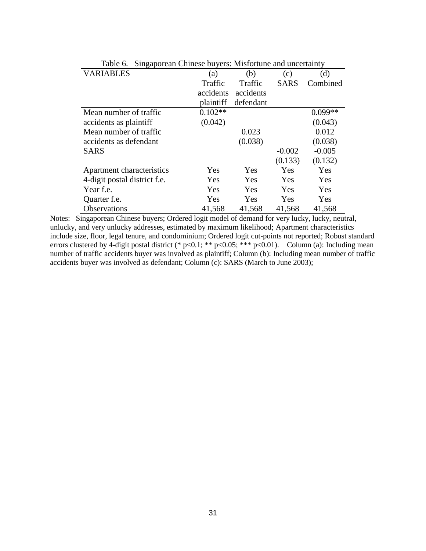| lable 6.<br>Singaporean Chinese buyers: Mistortune and uncertainty |           |           |             |           |  |  |  |
|--------------------------------------------------------------------|-----------|-----------|-------------|-----------|--|--|--|
| <b>VARIABLES</b>                                                   | (a)       | (b)       | (c)         | (d)       |  |  |  |
|                                                                    | Traffic   | Traffic   | <b>SARS</b> | Combined  |  |  |  |
|                                                                    | accidents | accidents |             |           |  |  |  |
|                                                                    | plaintiff | defendant |             |           |  |  |  |
| Mean number of traffic                                             | $0.102**$ |           |             | $0.099**$ |  |  |  |
| accidents as plaintiff                                             | (0.042)   |           |             | (0.043)   |  |  |  |
| Mean number of traffic                                             |           | 0.023     |             | 0.012     |  |  |  |
| accidents as defendant                                             |           | (0.038)   |             | (0.038)   |  |  |  |
| <b>SARS</b>                                                        |           |           | $-0.002$    | $-0.005$  |  |  |  |
|                                                                    |           |           | (0.133)     | (0.132)   |  |  |  |
| Apartment characteristics                                          | Yes       | Yes       | Yes         | Yes       |  |  |  |
| 4-digit postal district f.e.                                       | Yes       | Yes       | Yes         | Yes       |  |  |  |
| Year f.e.                                                          | Yes       | Yes       | Yes         | Yes       |  |  |  |
| Quarter f.e.                                                       | Yes       | Yes       | Yes         | Yes       |  |  |  |
| <b>Observations</b>                                                | 41,568    | 41,568    | 41,568      | 41,568    |  |  |  |

Table 6. Singaporean Chinese buyers: Misfortune and uncertainty

Notes: Singaporean Chinese buyers; Ordered logit model of demand for very lucky, lucky, neutral, unlucky, and very unlucky addresses, estimated by maximum likelihood; Apartment characteristics include size, floor, legal tenure, and condominium; Ordered logit cut-points not reported; Robust standard errors clustered by 4-digit postal district (\* p<0.1; \*\* p<0.05; \*\*\* p<0.01). Column (a): Including mean number of traffic accidents buyer was involved as plaintiff; Column (b): Including mean number of traffic accidents buyer was involved as defendant; Column (c): SARS (March to June 2003);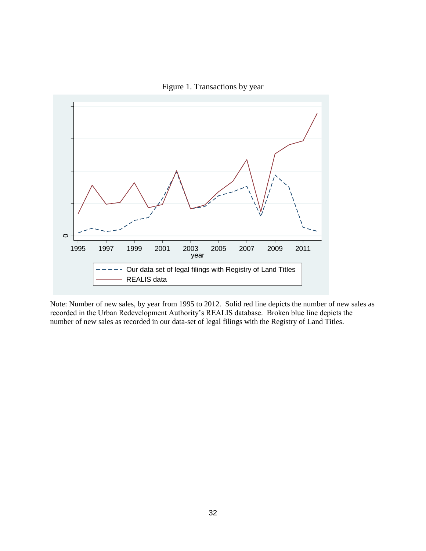



Note: Number of new sales, by year from 1995 to 2012. Solid red line depicts the number of new sales as recorded in the Urban Redevelopment Authority's REALIS database. Broken blue line depicts the number of new sales as recorded in our data-set of legal filings with the Registry of Land Titles.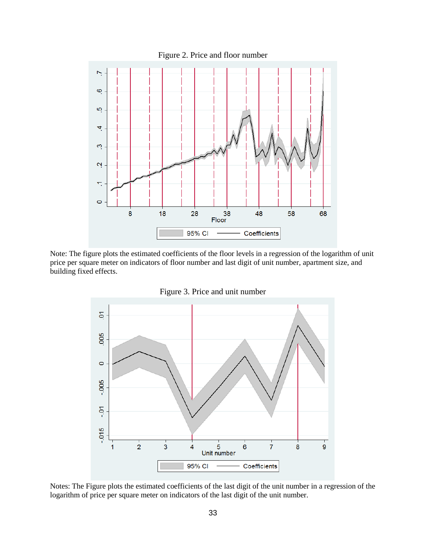

Note: The figure plots the estimated coefficients of the floor levels in a regression of the logarithm of unit price per square meter on indicators of floor number and last digit of unit number, apartment size, and building fixed effects.



Figure 3. Price and unit number

Notes: The Figure plots the estimated coefficients of the last digit of the unit number in a regression of the logarithm of price per square meter on indicators of the last digit of the unit number.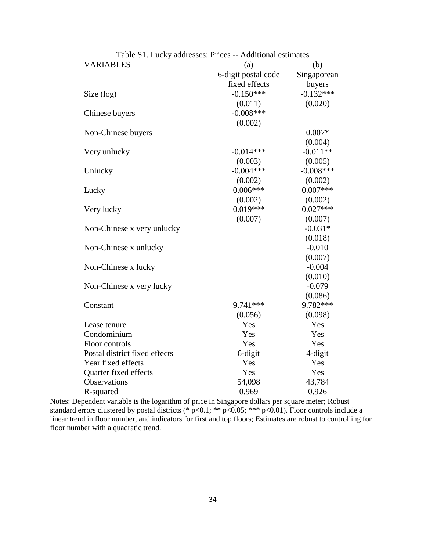| <b>VARIABLES</b>              | (a)                 | (b)         |
|-------------------------------|---------------------|-------------|
|                               | 6-digit postal code | Singaporean |
|                               | fixed effects       | buyers      |
| Size (log)                    | $-0.150***$         | $-0.132***$ |
|                               | (0.011)             | (0.020)     |
| Chinese buyers                | $-0.008$ ***        |             |
|                               | (0.002)             |             |
| Non-Chinese buyers            |                     | $0.007*$    |
|                               |                     | (0.004)     |
| Very unlucky                  | $-0.014***$         | $-0.011**$  |
|                               | (0.003)             | (0.005)     |
| Unlucky                       | $-0.004***$         | $-0.008***$ |
|                               | (0.002)             | (0.002)     |
| Lucky                         | $0.006***$          | $0.007***$  |
|                               | (0.002)             | (0.002)     |
| Very lucky                    | $0.019***$          | $0.027***$  |
|                               | (0.007)             | (0.007)     |
| Non-Chinese x very unlucky    |                     | $-0.031*$   |
|                               |                     | (0.018)     |
| Non-Chinese x unlucky         |                     | $-0.010$    |
|                               |                     | (0.007)     |
| Non-Chinese x lucky           |                     | $-0.004$    |
|                               |                     | (0.010)     |
| Non-Chinese x very lucky      |                     | $-0.079$    |
|                               |                     | (0.086)     |
| Constant                      | 9.741 ***           | 9.782***    |
|                               | (0.056)             | (0.098)     |
| Lease tenure                  | Yes                 | Yes         |
| Condominium                   | Yes                 | Yes         |
| Floor controls                | Yes                 | Yes         |
| Postal district fixed effects | 6-digit             | 4-digit     |
| Year fixed effects            | Yes                 | Yes         |
| Quarter fixed effects         | Yes                 | Yes         |
| Observations                  | 54,098              | 43,784      |
| R-squared                     | 0.969               | 0.926       |

Table S1. Lucky addresses: Prices -- Additional estimates

Notes: Dependent variable is the logarithm of price in Singapore dollars per square meter; Robust standard errors clustered by postal districts (\*  $p<0.1$ ; \*\*  $p<0.05$ ; \*\*\*  $p<0.01$ ). Floor controls include a linear trend in floor number, and indicators for first and top floors; Estimates are robust to controlling for floor number with a quadratic trend.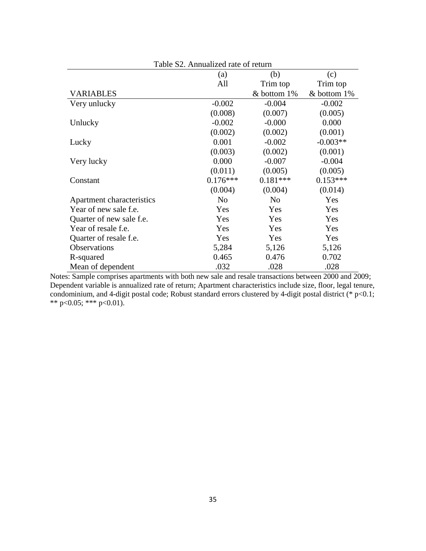| Table S2. Annualized rate of return |                |                |             |  |  |
|-------------------------------------|----------------|----------------|-------------|--|--|
|                                     | (a)            | (b)            | (c)         |  |  |
|                                     | All            | Trim top       | Trim top    |  |  |
| <b>VARIABLES</b>                    |                | & bottom 1%    | & bottom 1% |  |  |
| Very unlucky                        | $-0.002$       | $-0.004$       | $-0.002$    |  |  |
|                                     | (0.008)        | (0.007)        | (0.005)     |  |  |
| Unlucky                             | $-0.002$       | $-0.000$       | 0.000       |  |  |
|                                     | (0.002)        | (0.002)        | (0.001)     |  |  |
| Lucky                               | 0.001          | $-0.002$       | $-0.003**$  |  |  |
|                                     | (0.003)        | (0.002)        | (0.001)     |  |  |
| Very lucky                          | 0.000          | $-0.007$       | $-0.004$    |  |  |
|                                     | (0.011)        | (0.005)        | (0.005)     |  |  |
| Constant                            | $0.176***$     | $0.181***$     | $0.153***$  |  |  |
|                                     | (0.004)        | (0.004)        | (0.014)     |  |  |
| Apartment characteristics           | N <sub>0</sub> | N <sub>0</sub> | Yes         |  |  |
| Year of new sale f.e.               | Yes            | Yes            | Yes         |  |  |
| Quarter of new sale f.e.            | Yes            | Yes            | Yes         |  |  |
| Year of resale f.e.                 | Yes            | Yes            | Yes         |  |  |
| Quarter of resale f.e.              | Yes            | Yes            | Yes         |  |  |
| <b>Observations</b>                 | 5,284          | 5,126          | 5,126       |  |  |
| R-squared                           | 0.465          | 0.476          | 0.702       |  |  |
| Mean of dependent                   | .032           | .028           | .028        |  |  |

Notes: Sample comprises apartments with both new sale and resale transactions between 2000 and 2009; Dependent variable is annualized rate of return; Apartment characteristics include size, floor, legal tenure, condominium, and 4-digit postal code; Robust standard errors clustered by 4-digit postal district (\* p<0.1; \*\* p<0.05; \*\*\* p<0.01).